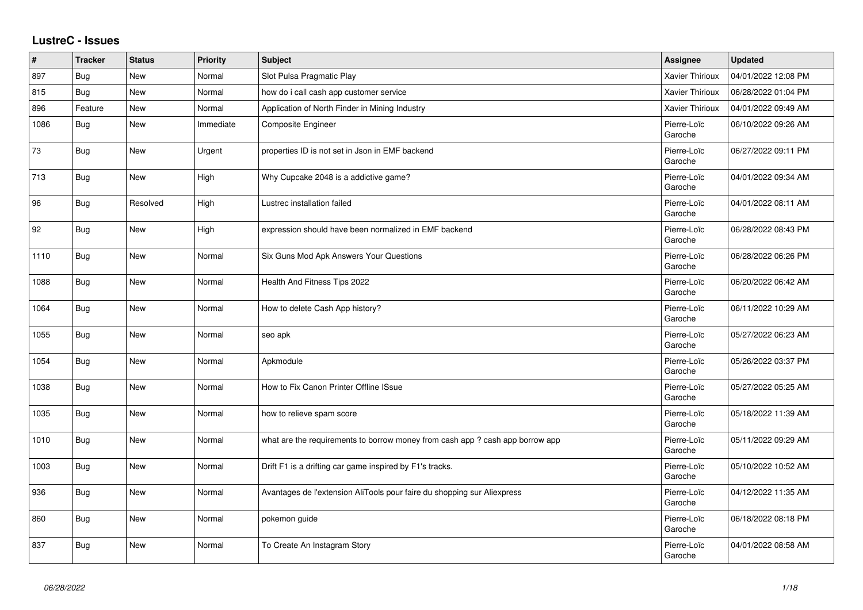## **LustreC - Issues**

| $\vert$ # | <b>Tracker</b> | <b>Status</b> | <b>Priority</b> | <b>Subject</b>                                                               | Assignee               | <b>Updated</b>      |
|-----------|----------------|---------------|-----------------|------------------------------------------------------------------------------|------------------------|---------------------|
| 897       | Bug            | New           | Normal          | Slot Pulsa Pragmatic Play                                                    | Xavier Thirioux        | 04/01/2022 12:08 PM |
| 815       | Bug            | <b>New</b>    | Normal          | how do i call cash app customer service                                      | <b>Xavier Thirioux</b> | 06/28/2022 01:04 PM |
| 896       | Feature        | New           | Normal          | Application of North Finder in Mining Industry                               | Xavier Thirioux        | 04/01/2022 09:49 AM |
| 1086      | Bug            | <b>New</b>    | Immediate       | Composite Engineer                                                           | Pierre-Loïc<br>Garoche | 06/10/2022 09:26 AM |
| 73        | Bug            | New           | Urgent          | properties ID is not set in Json in EMF backend                              | Pierre-Loïc<br>Garoche | 06/27/2022 09:11 PM |
| 713       | Bug            | New           | High            | Why Cupcake 2048 is a addictive game?                                        | Pierre-Loïc<br>Garoche | 04/01/2022 09:34 AM |
| 96        | Bug            | Resolved      | High            | Lustrec installation failed                                                  | Pierre-Loïc<br>Garoche | 04/01/2022 08:11 AM |
| 92        | <b>Bug</b>     | New           | High            | expression should have been normalized in EMF backend                        | Pierre-Loïc<br>Garoche | 06/28/2022 08:43 PM |
| 1110      | Bug            | New           | Normal          | Six Guns Mod Apk Answers Your Questions                                      | Pierre-Loïc<br>Garoche | 06/28/2022 06:26 PM |
| 1088      | Bug            | New           | Normal          | Health And Fitness Tips 2022                                                 | Pierre-Loïc<br>Garoche | 06/20/2022 06:42 AM |
| 1064      | Bug            | New           | Normal          | How to delete Cash App history?                                              | Pierre-Loïc<br>Garoche | 06/11/2022 10:29 AM |
| 1055      | Bug            | New           | Normal          | seo apk                                                                      | Pierre-Loïc<br>Garoche | 05/27/2022 06:23 AM |
| 1054      | <b>Bug</b>     | New           | Normal          | Apkmodule                                                                    | Pierre-Loïc<br>Garoche | 05/26/2022 03:37 PM |
| 1038      | Bug            | New           | Normal          | How to Fix Canon Printer Offline ISsue                                       | Pierre-Loïc<br>Garoche | 05/27/2022 05:25 AM |
| 1035      | Bug            | New           | Normal          | how to relieve spam score                                                    | Pierre-Loïc<br>Garoche | 05/18/2022 11:39 AM |
| 1010      | Bug            | New           | Normal          | what are the requirements to borrow money from cash app? cash app borrow app | Pierre-Loïc<br>Garoche | 05/11/2022 09:29 AM |
| 1003      | <b>Bug</b>     | New           | Normal          | Drift F1 is a drifting car game inspired by F1's tracks.                     | Pierre-Loïc<br>Garoche | 05/10/2022 10:52 AM |
| 936       | Bug            | New           | Normal          | Avantages de l'extension AliTools pour faire du shopping sur Aliexpress      | Pierre-Loïc<br>Garoche | 04/12/2022 11:35 AM |
| 860       | Bug            | New           | Normal          | pokemon guide                                                                | Pierre-Loïc<br>Garoche | 06/18/2022 08:18 PM |
| 837       | Bug            | New           | Normal          | To Create An Instagram Story                                                 | Pierre-Loïc<br>Garoche | 04/01/2022 08:58 AM |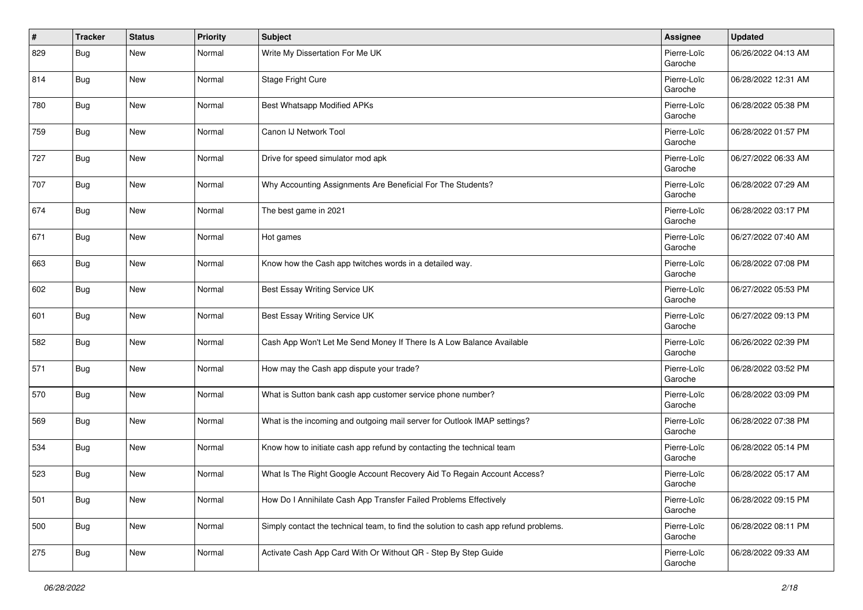| $\vert$ # | <b>Tracker</b> | <b>Status</b> | <b>Priority</b> | <b>Subject</b>                                                                       | Assignee               | <b>Updated</b>      |
|-----------|----------------|---------------|-----------------|--------------------------------------------------------------------------------------|------------------------|---------------------|
| 829       | Bug            | <b>New</b>    | Normal          | Write My Dissertation For Me UK                                                      | Pierre-Loïc<br>Garoche | 06/26/2022 04:13 AM |
| 814       | Bug            | <b>New</b>    | Normal          | Stage Fright Cure                                                                    | Pierre-Loïc<br>Garoche | 06/28/2022 12:31 AM |
| 780       | <b>Bug</b>     | <b>New</b>    | Normal          | Best Whatsapp Modified APKs                                                          | Pierre-Loïc<br>Garoche | 06/28/2022 05:38 PM |
| 759       | Bug            | <b>New</b>    | Normal          | Canon IJ Network Tool                                                                | Pierre-Loïc<br>Garoche | 06/28/2022 01:57 PM |
| 727       | Bug            | <b>New</b>    | Normal          | Drive for speed simulator mod apk                                                    | Pierre-Loïc<br>Garoche | 06/27/2022 06:33 AM |
| 707       | Bug            | <b>New</b>    | Normal          | Why Accounting Assignments Are Beneficial For The Students?                          | Pierre-Loïc<br>Garoche | 06/28/2022 07:29 AM |
| 674       | Bug            | New           | Normal          | The best game in 2021                                                                | Pierre-Loïc<br>Garoche | 06/28/2022 03:17 PM |
| 671       | Bug            | <b>New</b>    | Normal          | Hot games                                                                            | Pierre-Loïc<br>Garoche | 06/27/2022 07:40 AM |
| 663       | Bug            | <b>New</b>    | Normal          | Know how the Cash app twitches words in a detailed way.                              | Pierre-Loïc<br>Garoche | 06/28/2022 07:08 PM |
| 602       | <b>Bug</b>     | <b>New</b>    | Normal          | Best Essay Writing Service UK                                                        | Pierre-Loïc<br>Garoche | 06/27/2022 05:53 PM |
| 601       | Bug            | <b>New</b>    | Normal          | Best Essay Writing Service UK                                                        | Pierre-Loïc<br>Garoche | 06/27/2022 09:13 PM |
| 582       | Bug            | <b>New</b>    | Normal          | Cash App Won't Let Me Send Money If There Is A Low Balance Available                 | Pierre-Loïc<br>Garoche | 06/26/2022 02:39 PM |
| 571       | Bug            | <b>New</b>    | Normal          | How may the Cash app dispute your trade?                                             | Pierre-Loïc<br>Garoche | 06/28/2022 03:52 PM |
| 570       | Bug            | New           | Normal          | What is Sutton bank cash app customer service phone number?                          | Pierre-Loïc<br>Garoche | 06/28/2022 03:09 PM |
| 569       | Bug            | <b>New</b>    | Normal          | What is the incoming and outgoing mail server for Outlook IMAP settings?             | Pierre-Loïc<br>Garoche | 06/28/2022 07:38 PM |
| 534       | Bug            | <b>New</b>    | Normal          | Know how to initiate cash app refund by contacting the technical team                | Pierre-Loïc<br>Garoche | 06/28/2022 05:14 PM |
| 523       | Bug            | <b>New</b>    | Normal          | What Is The Right Google Account Recovery Aid To Regain Account Access?              | Pierre-Loïc<br>Garoche | 06/28/2022 05:17 AM |
| 501       | <b>Bug</b>     | New           | Normal          | How Do I Annihilate Cash App Transfer Failed Problems Effectively                    | Pierre-Loïc<br>Garoche | 06/28/2022 09:15 PM |
| 500       | <b>Bug</b>     | New           | Normal          | Simply contact the technical team, to find the solution to cash app refund problems. | Pierre-Loïc<br>Garoche | 06/28/2022 08:11 PM |
| 275       | <b>Bug</b>     | New           | Normal          | Activate Cash App Card With Or Without QR - Step By Step Guide                       | Pierre-Loïc<br>Garoche | 06/28/2022 09:33 AM |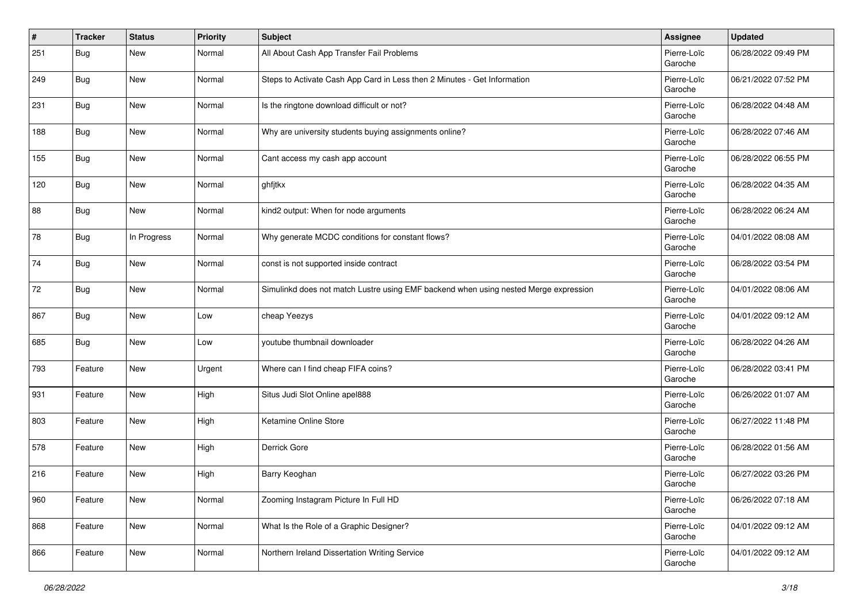| #   | <b>Tracker</b> | <b>Status</b> | <b>Priority</b> | <b>Subject</b>                                                                       | Assignee               | <b>Updated</b>      |
|-----|----------------|---------------|-----------------|--------------------------------------------------------------------------------------|------------------------|---------------------|
| 251 | Bug            | New           | Normal          | All About Cash App Transfer Fail Problems                                            | Pierre-Loïc<br>Garoche | 06/28/2022 09:49 PM |
| 249 | Bug            | <b>New</b>    | Normal          | Steps to Activate Cash App Card in Less then 2 Minutes - Get Information             | Pierre-Loïc<br>Garoche | 06/21/2022 07:52 PM |
| 231 | <b>Bug</b>     | New           | Normal          | Is the ringtone download difficult or not?                                           | Pierre-Loïc<br>Garoche | 06/28/2022 04:48 AM |
| 188 | Bug            | New           | Normal          | Why are university students buying assignments online?                               | Pierre-Loïc<br>Garoche | 06/28/2022 07:46 AM |
| 155 | Bug            | New           | Normal          | Cant access my cash app account                                                      | Pierre-Loïc<br>Garoche | 06/28/2022 06:55 PM |
| 120 | <b>Bug</b>     | New           | Normal          | ghfjtkx                                                                              | Pierre-Loïc<br>Garoche | 06/28/2022 04:35 AM |
| 88  | Bug            | New           | Normal          | kind2 output: When for node arguments                                                | Pierre-Loïc<br>Garoche | 06/28/2022 06:24 AM |
| 78  | Bug            | In Progress   | Normal          | Why generate MCDC conditions for constant flows?                                     | Pierre-Loïc<br>Garoche | 04/01/2022 08:08 AM |
| 74  | Bug            | <b>New</b>    | Normal          | const is not supported inside contract                                               | Pierre-Loïc<br>Garoche | 06/28/2022 03:54 PM |
| 72  | <b>Bug</b>     | New           | Normal          | Simulinkd does not match Lustre using EMF backend when using nested Merge expression | Pierre-Loïc<br>Garoche | 04/01/2022 08:06 AM |
| 867 | <b>Bug</b>     | New           | Low             | cheap Yeezys                                                                         | Pierre-Loïc<br>Garoche | 04/01/2022 09:12 AM |
| 685 | Bug            | New           | Low             | youtube thumbnail downloader                                                         | Pierre-Loïc<br>Garoche | 06/28/2022 04:26 AM |
| 793 | Feature        | New           | Urgent          | Where can I find cheap FIFA coins?                                                   | Pierre-Loïc<br>Garoche | 06/28/2022 03:41 PM |
| 931 | Feature        | New           | High            | Situs Judi Slot Online apel888                                                       | Pierre-Loïc<br>Garoche | 06/26/2022 01:07 AM |
| 803 | Feature        | New           | High            | Ketamine Online Store                                                                | Pierre-Loïc<br>Garoche | 06/27/2022 11:48 PM |
| 578 | Feature        | New           | High            | Derrick Gore                                                                         | Pierre-Loïc<br>Garoche | 06/28/2022 01:56 AM |
| 216 | Feature        | New           | High            | Barry Keoghan                                                                        | Pierre-Loïc<br>Garoche | 06/27/2022 03:26 PM |
| 960 | Feature        | <b>New</b>    | Normal          | Zooming Instagram Picture In Full HD                                                 | Pierre-Loïc<br>Garoche | 06/26/2022 07:18 AM |
| 868 | Feature        | New           | Normal          | What Is the Role of a Graphic Designer?                                              | Pierre-Loïc<br>Garoche | 04/01/2022 09:12 AM |
| 866 | Feature        | New           | Normal          | Northern Ireland Dissertation Writing Service                                        | Pierre-Loïc<br>Garoche | 04/01/2022 09:12 AM |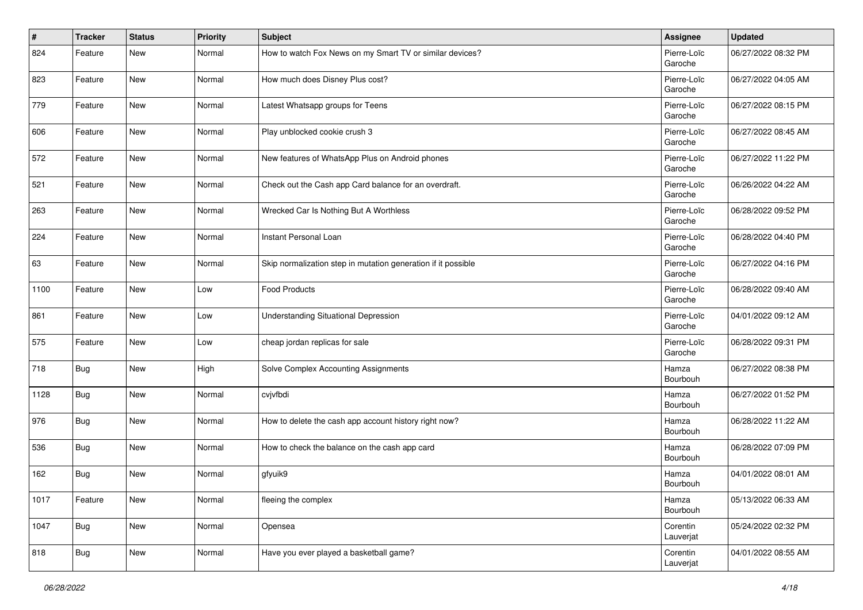| #    | <b>Tracker</b> | <b>Status</b> | Priority | <b>Subject</b>                                                | Assignee               | <b>Updated</b>      |
|------|----------------|---------------|----------|---------------------------------------------------------------|------------------------|---------------------|
| 824  | Feature        | <b>New</b>    | Normal   | How to watch Fox News on my Smart TV or similar devices?      | Pierre-Loïc<br>Garoche | 06/27/2022 08:32 PM |
| 823  | Feature        | <b>New</b>    | Normal   | How much does Disney Plus cost?                               | Pierre-Loïc<br>Garoche | 06/27/2022 04:05 AM |
| 779  | Feature        | New           | Normal   | Latest Whatsapp groups for Teens                              | Pierre-Loïc<br>Garoche | 06/27/2022 08:15 PM |
| 606  | Feature        | <b>New</b>    | Normal   | Play unblocked cookie crush 3                                 | Pierre-Loïc<br>Garoche | 06/27/2022 08:45 AM |
| 572  | Feature        | New           | Normal   | New features of WhatsApp Plus on Android phones               | Pierre-Loïc<br>Garoche | 06/27/2022 11:22 PM |
| 521  | Feature        | New           | Normal   | Check out the Cash app Card balance for an overdraft.         | Pierre-Loïc<br>Garoche | 06/26/2022 04:22 AM |
| 263  | Feature        | <b>New</b>    | Normal   | Wrecked Car Is Nothing But A Worthless                        | Pierre-Loïc<br>Garoche | 06/28/2022 09:52 PM |
| 224  | Feature        | <b>New</b>    | Normal   | Instant Personal Loan                                         | Pierre-Loïc<br>Garoche | 06/28/2022 04:40 PM |
| 63   | Feature        | New           | Normal   | Skip normalization step in mutation generation if it possible | Pierre-Loïc<br>Garoche | 06/27/2022 04:16 PM |
| 1100 | Feature        | New           | Low      | <b>Food Products</b>                                          | Pierre-Loïc<br>Garoche | 06/28/2022 09:40 AM |
| 861  | Feature        | New           | Low      | <b>Understanding Situational Depression</b>                   | Pierre-Loïc<br>Garoche | 04/01/2022 09:12 AM |
| 575  | Feature        | New           | Low      | cheap jordan replicas for sale                                | Pierre-Loïc<br>Garoche | 06/28/2022 09:31 PM |
| 718  | <b>Bug</b>     | New           | High     | Solve Complex Accounting Assignments                          | Hamza<br>Bourbouh      | 06/27/2022 08:38 PM |
| 1128 | <b>Bug</b>     | New           | Normal   | cvjvfbdi                                                      | Hamza<br>Bourbouh      | 06/27/2022 01:52 PM |
| 976  | Bug            | <b>New</b>    | Normal   | How to delete the cash app account history right now?         | Hamza<br>Bourbouh      | 06/28/2022 11:22 AM |
| 536  | <b>Bug</b>     | <b>New</b>    | Normal   | How to check the balance on the cash app card                 | Hamza<br>Bourbouh      | 06/28/2022 07:09 PM |
| 162  | <b>Bug</b>     | New           | Normal   | gfyuik9                                                       | Hamza<br>Bourbouh      | 04/01/2022 08:01 AM |
| 1017 | Feature        | <b>New</b>    | Normal   | fleeing the complex                                           | Hamza<br>Bourbouh      | 05/13/2022 06:33 AM |
| 1047 | <b>Bug</b>     | New           | Normal   | Opensea                                                       | Corentin<br>Lauverjat  | 05/24/2022 02:32 PM |
| 818  | <b>Bug</b>     | New           | Normal   | Have you ever played a basketball game?                       | Corentin<br>Lauverjat  | 04/01/2022 08:55 AM |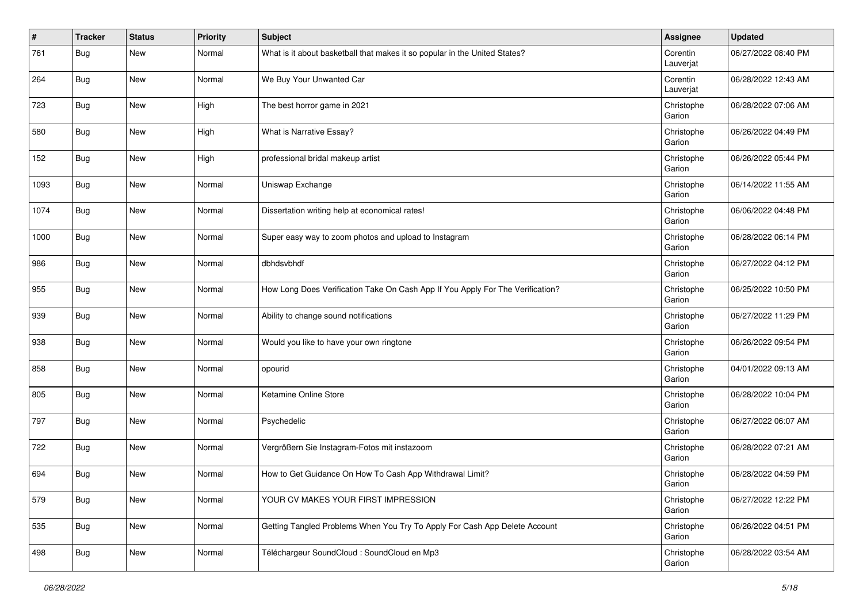| #    | <b>Tracker</b> | <b>Status</b> | <b>Priority</b> | <b>Subject</b>                                                                 | Assignee              | <b>Updated</b>      |
|------|----------------|---------------|-----------------|--------------------------------------------------------------------------------|-----------------------|---------------------|
| 761  | Bug            | <b>New</b>    | Normal          | What is it about basketball that makes it so popular in the United States?     | Corentin<br>Lauverjat | 06/27/2022 08:40 PM |
| 264  | Bug            | <b>New</b>    | Normal          | We Buy Your Unwanted Car                                                       | Corentin<br>Lauverjat | 06/28/2022 12:43 AM |
| 723  | <b>Bug</b>     | New           | High            | The best horror game in 2021                                                   | Christophe<br>Garion  | 06/28/2022 07:06 AM |
| 580  | Bug            | <b>New</b>    | High            | What is Narrative Essay?                                                       | Christophe<br>Garion  | 06/26/2022 04:49 PM |
| 152  | Bug            | <b>New</b>    | High            | professional bridal makeup artist                                              | Christophe<br>Garion  | 06/26/2022 05:44 PM |
| 1093 | <b>Bug</b>     | New           | Normal          | Uniswap Exchange                                                               | Christophe<br>Garion  | 06/14/2022 11:55 AM |
| 1074 | <b>Bug</b>     | <b>New</b>    | Normal          | Dissertation writing help at economical rates!                                 | Christophe<br>Garion  | 06/06/2022 04:48 PM |
| 1000 | Bug            | <b>New</b>    | Normal          | Super easy way to zoom photos and upload to Instagram                          | Christophe<br>Garion  | 06/28/2022 06:14 PM |
| 986  | Bug            | <b>New</b>    | Normal          | dbhdsvbhdf                                                                     | Christophe<br>Garion  | 06/27/2022 04:12 PM |
| 955  | Bug            | <b>New</b>    | Normal          | How Long Does Verification Take On Cash App If You Apply For The Verification? | Christophe<br>Garion  | 06/25/2022 10:50 PM |
| 939  | Bug            | <b>New</b>    | Normal          | Ability to change sound notifications                                          | Christophe<br>Garion  | 06/27/2022 11:29 PM |
| 938  | Bug            | <b>New</b>    | Normal          | Would you like to have your own ringtone                                       | Christophe<br>Garion  | 06/26/2022 09:54 PM |
| 858  | Bug            | <b>New</b>    | Normal          | opourid                                                                        | Christophe<br>Garion  | 04/01/2022 09:13 AM |
| 805  | Bug            | <b>New</b>    | Normal          | Ketamine Online Store                                                          | Christophe<br>Garion  | 06/28/2022 10:04 PM |
| 797  | Bug            | <b>New</b>    | Normal          | Psychedelic                                                                    | Christophe<br>Garion  | 06/27/2022 06:07 AM |
| 722  | <b>Bug</b>     | <b>New</b>    | Normal          | Vergrößern Sie Instagram-Fotos mit instazoom                                   | Christophe<br>Garion  | 06/28/2022 07:21 AM |
| 694  | Bug            | <b>New</b>    | Normal          | How to Get Guidance On How To Cash App Withdrawal Limit?                       | Christophe<br>Garion  | 06/28/2022 04:59 PM |
| 579  | <b>Bug</b>     | New           | Normal          | YOUR CV MAKES YOUR FIRST IMPRESSION                                            | Christophe<br>Garion  | 06/27/2022 12:22 PM |
| 535  | <b>Bug</b>     | New           | Normal          | Getting Tangled Problems When You Try To Apply For Cash App Delete Account     | Christophe<br>Garion  | 06/26/2022 04:51 PM |
| 498  | <b>Bug</b>     | New           | Normal          | Téléchargeur SoundCloud : SoundCloud en Mp3                                    | Christophe<br>Garion  | 06/28/2022 03:54 AM |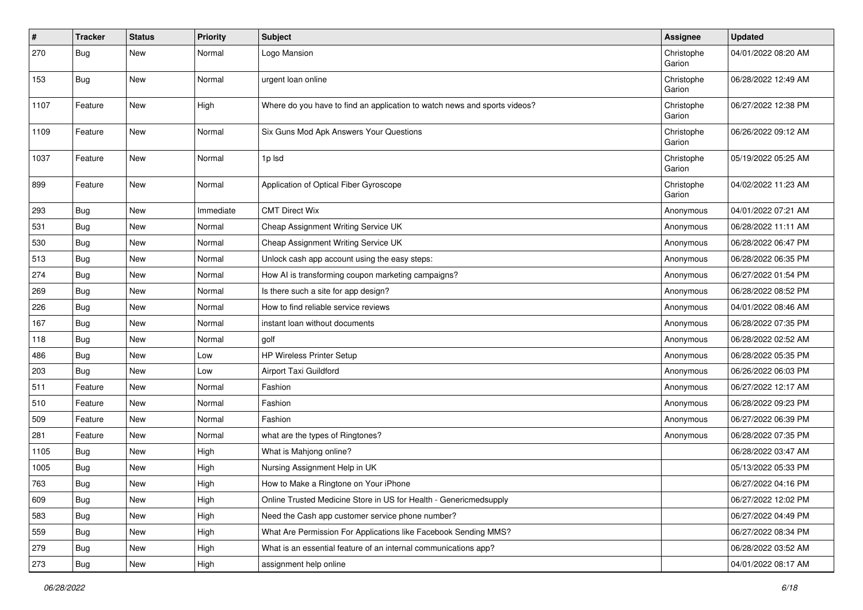| $\vert$ # | <b>Tracker</b> | <b>Status</b> | <b>Priority</b> | <b>Subject</b>                                                            | Assignee             | <b>Updated</b>      |
|-----------|----------------|---------------|-----------------|---------------------------------------------------------------------------|----------------------|---------------------|
| 270       | Bug            | New           | Normal          | Logo Mansion                                                              | Christophe<br>Garion | 04/01/2022 08:20 AM |
| 153       | Bug            | <b>New</b>    | Normal          | urgent loan online                                                        | Christophe<br>Garion | 06/28/2022 12:49 AM |
| 1107      | Feature        | <b>New</b>    | High            | Where do you have to find an application to watch news and sports videos? | Christophe<br>Garion | 06/27/2022 12:38 PM |
| 1109      | Feature        | <b>New</b>    | Normal          | Six Guns Mod Apk Answers Your Questions                                   | Christophe<br>Garion | 06/26/2022 09:12 AM |
| 1037      | Feature        | <b>New</b>    | Normal          | 1p lsd                                                                    | Christophe<br>Garion | 05/19/2022 05:25 AM |
| 899       | Feature        | <b>New</b>    | Normal          | Application of Optical Fiber Gyroscope                                    | Christophe<br>Garion | 04/02/2022 11:23 AM |
| 293       | Bug            | <b>New</b>    | Immediate       | <b>CMT Direct Wix</b>                                                     | Anonymous            | 04/01/2022 07:21 AM |
| 531       | Bug            | New           | Normal          | Cheap Assignment Writing Service UK                                       | Anonymous            | 06/28/2022 11:11 AM |
| 530       | <b>Bug</b>     | New           | Normal          | Cheap Assignment Writing Service UK                                       | Anonymous            | 06/28/2022 06:47 PM |
| 513       | Bug            | <b>New</b>    | Normal          | Unlock cash app account using the easy steps:                             | Anonymous            | 06/28/2022 06:35 PM |
| 274       | <b>Bug</b>     | <b>New</b>    | Normal          | How AI is transforming coupon marketing campaigns?                        | Anonymous            | 06/27/2022 01:54 PM |
| 269       | Bug            | New           | Normal          | Is there such a site for app design?                                      | Anonymous            | 06/28/2022 08:52 PM |
| 226       | Bug            | New           | Normal          | How to find reliable service reviews                                      | Anonymous            | 04/01/2022 08:46 AM |
| 167       | <b>Bug</b>     | New           | Normal          | instant loan without documents                                            | Anonymous            | 06/28/2022 07:35 PM |
| 118       | Bug            | <b>New</b>    | Normal          | golf                                                                      | Anonymous            | 06/28/2022 02:52 AM |
| 486       | <b>Bug</b>     | New           | Low             | <b>HP Wireless Printer Setup</b>                                          | Anonymous            | 06/28/2022 05:35 PM |
| 203       | Bug            | <b>New</b>    | Low             | Airport Taxi Guildford                                                    | Anonymous            | 06/26/2022 06:03 PM |
| 511       | Feature        | <b>New</b>    | Normal          | Fashion                                                                   | Anonymous            | 06/27/2022 12:17 AM |
| 510       | Feature        | New           | Normal          | Fashion                                                                   | Anonymous            | 06/28/2022 09:23 PM |
| 509       | Feature        | <b>New</b>    | Normal          | Fashion                                                                   | Anonymous            | 06/27/2022 06:39 PM |
| 281       | Feature        | New           | Normal          | what are the types of Ringtones?                                          | Anonymous            | 06/28/2022 07:35 PM |
| 1105      | Bug            | New           | High            | What is Mahjong online?                                                   |                      | 06/28/2022 03:47 AM |
| 1005      | Bug            | <b>New</b>    | High            | Nursing Assignment Help in UK                                             |                      | 05/13/2022 05:33 PM |
| 763       | Bug            | New           | High            | How to Make a Ringtone on Your iPhone                                     |                      | 06/27/2022 04:16 PM |
| 609       | Bug            | <b>New</b>    | High            | Online Trusted Medicine Store in US for Health - Genericmedsupply         |                      | 06/27/2022 12:02 PM |
| 583       | Bug            | New           | High            | Need the Cash app customer service phone number?                          |                      | 06/27/2022 04:49 PM |
| 559       | <b>Bug</b>     | <b>New</b>    | High            | What Are Permission For Applications like Facebook Sending MMS?           |                      | 06/27/2022 08:34 PM |
| 279       | Bug            | New           | High            | What is an essential feature of an internal communications app?           |                      | 06/28/2022 03:52 AM |
| 273       | Bug            | New           | High            | assignment help online                                                    |                      | 04/01/2022 08:17 AM |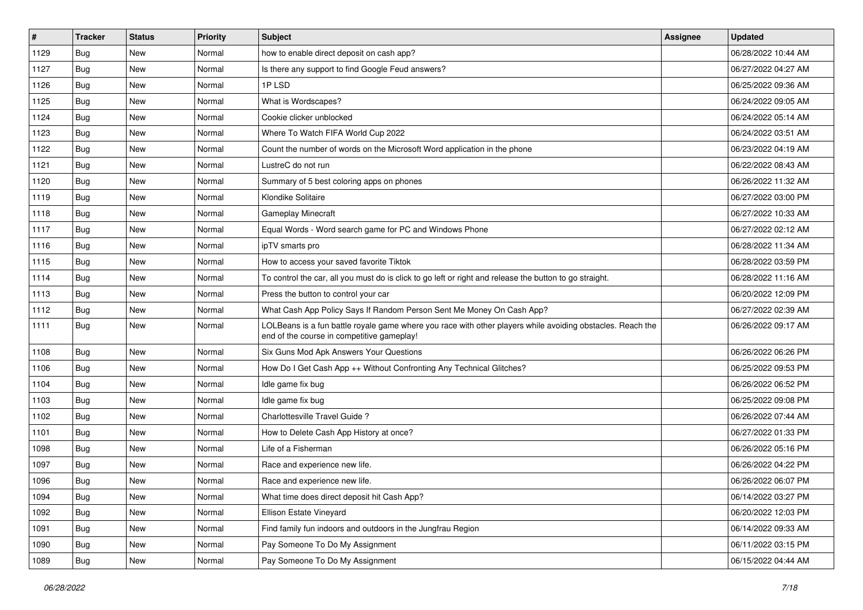| $\#$ | <b>Tracker</b> | <b>Status</b> | <b>Priority</b> | <b>Subject</b>                                                                                                                                           | Assignee | <b>Updated</b>      |
|------|----------------|---------------|-----------------|----------------------------------------------------------------------------------------------------------------------------------------------------------|----------|---------------------|
| 1129 | Bug            | <b>New</b>    | Normal          | how to enable direct deposit on cash app?                                                                                                                |          | 06/28/2022 10:44 AM |
| 1127 | Bug            | <b>New</b>    | Normal          | Is there any support to find Google Feud answers?                                                                                                        |          | 06/27/2022 04:27 AM |
| 1126 | Bug            | New           | Normal          | 1PLSD                                                                                                                                                    |          | 06/25/2022 09:36 AM |
| 1125 | Bug            | New           | Normal          | What is Wordscapes?                                                                                                                                      |          | 06/24/2022 09:05 AM |
| 1124 | Bug            | <b>New</b>    | Normal          | Cookie clicker unblocked                                                                                                                                 |          | 06/24/2022 05:14 AM |
| 1123 | Bug            | New           | Normal          | Where To Watch FIFA World Cup 2022                                                                                                                       |          | 06/24/2022 03:51 AM |
| 1122 | Bug            | <b>New</b>    | Normal          | Count the number of words on the Microsoft Word application in the phone                                                                                 |          | 06/23/2022 04:19 AM |
| 1121 | Bug            | New           | Normal          | LustreC do not run                                                                                                                                       |          | 06/22/2022 08:43 AM |
| 1120 | Bug            | New           | Normal          | Summary of 5 best coloring apps on phones                                                                                                                |          | 06/26/2022 11:32 AM |
| 1119 | Bug            | <b>New</b>    | Normal          | Klondike Solitaire                                                                                                                                       |          | 06/27/2022 03:00 PM |
| 1118 | Bug            | New           | Normal          | <b>Gameplay Minecraft</b>                                                                                                                                |          | 06/27/2022 10:33 AM |
| 1117 | Bug            | New           | Normal          | Equal Words - Word search game for PC and Windows Phone                                                                                                  |          | 06/27/2022 02:12 AM |
| 1116 | Bug            | New           | Normal          | ipTV smarts pro                                                                                                                                          |          | 06/28/2022 11:34 AM |
| 1115 | Bug            | <b>New</b>    | Normal          | How to access your saved favorite Tiktok                                                                                                                 |          | 06/28/2022 03:59 PM |
| 1114 | Bug            | <b>New</b>    | Normal          | To control the car, all you must do is click to go left or right and release the button to go straight.                                                  |          | 06/28/2022 11:16 AM |
| 1113 | Bug            | New           | Normal          | Press the button to control your car                                                                                                                     |          | 06/20/2022 12:09 PM |
| 1112 | Bug            | <b>New</b>    | Normal          | What Cash App Policy Says If Random Person Sent Me Money On Cash App?                                                                                    |          | 06/27/2022 02:39 AM |
| 1111 | Bug            | New           | Normal          | LOLBeans is a fun battle royale game where you race with other players while avoiding obstacles. Reach the<br>end of the course in competitive gameplay! |          | 06/26/2022 09:17 AM |
| 1108 | Bug            | <b>New</b>    | Normal          | Six Guns Mod Apk Answers Your Questions                                                                                                                  |          | 06/26/2022 06:26 PM |
| 1106 | Bug            | New           | Normal          | How Do I Get Cash App ++ Without Confronting Any Technical Glitches?                                                                                     |          | 06/25/2022 09:53 PM |
| 1104 | Bug            | <b>New</b>    | Normal          | Idle game fix bug                                                                                                                                        |          | 06/26/2022 06:52 PM |
| 1103 | Bug            | New           | Normal          | Idle game fix bug                                                                                                                                        |          | 06/25/2022 09:08 PM |
| 1102 | Bug            | New           | Normal          | Charlottesville Travel Guide?                                                                                                                            |          | 06/26/2022 07:44 AM |
| 1101 | Bug            | New           | Normal          | How to Delete Cash App History at once?                                                                                                                  |          | 06/27/2022 01:33 PM |
| 1098 | Bug            | New           | Normal          | Life of a Fisherman                                                                                                                                      |          | 06/26/2022 05:16 PM |
| 1097 | Bug            | New           | Normal          | Race and experience new life.                                                                                                                            |          | 06/26/2022 04:22 PM |
| 1096 | Bug            | New           | Normal          | Race and experience new life.                                                                                                                            |          | 06/26/2022 06:07 PM |
| 1094 | <b>Bug</b>     | New           | Normal          | What time does direct deposit hit Cash App?                                                                                                              |          | 06/14/2022 03:27 PM |
| 1092 | Bug            | New           | Normal          | Ellison Estate Vineyard                                                                                                                                  |          | 06/20/2022 12:03 PM |
| 1091 | Bug            | New           | Normal          | Find family fun indoors and outdoors in the Jungfrau Region                                                                                              |          | 06/14/2022 09:33 AM |
| 1090 | Bug            | New           | Normal          | Pay Someone To Do My Assignment                                                                                                                          |          | 06/11/2022 03:15 PM |
| 1089 | Bug            | New           | Normal          | Pay Someone To Do My Assignment                                                                                                                          |          | 06/15/2022 04:44 AM |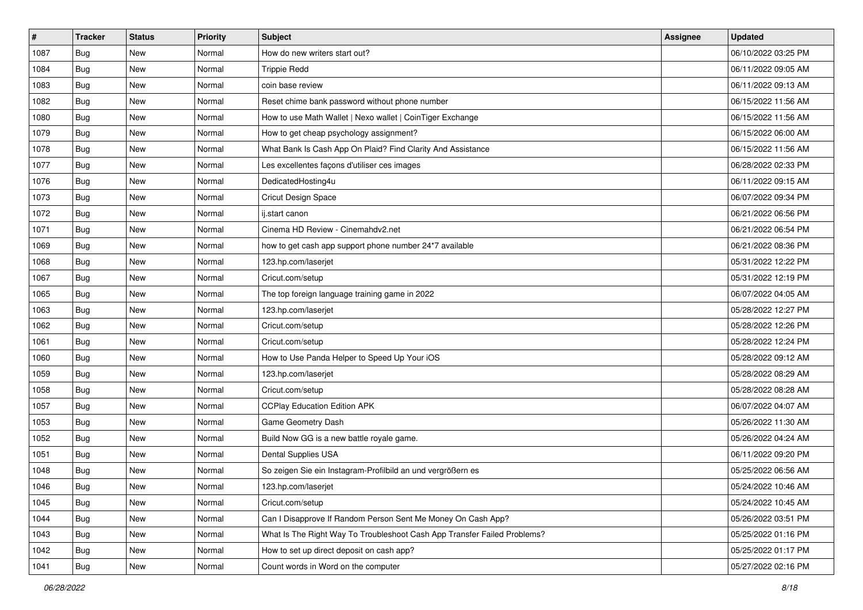| #    | <b>Tracker</b> | <b>Status</b> | <b>Priority</b> | <b>Subject</b>                                                           | Assignee | <b>Updated</b>      |
|------|----------------|---------------|-----------------|--------------------------------------------------------------------------|----------|---------------------|
| 1087 | Bug            | New           | Normal          | How do new writers start out?                                            |          | 06/10/2022 03:25 PM |
| 1084 | Bug            | <b>New</b>    | Normal          | <b>Trippie Redd</b>                                                      |          | 06/11/2022 09:05 AM |
| 1083 | Bug            | <b>New</b>    | Normal          | coin base review                                                         |          | 06/11/2022 09:13 AM |
| 1082 | Bug            | <b>New</b>    | Normal          | Reset chime bank password without phone number                           |          | 06/15/2022 11:56 AM |
| 1080 | Bug            | <b>New</b>    | Normal          | How to use Math Wallet   Nexo wallet   CoinTiger Exchange                |          | 06/15/2022 11:56 AM |
| 1079 | <b>Bug</b>     | <b>New</b>    | Normal          | How to get cheap psychology assignment?                                  |          | 06/15/2022 06:00 AM |
| 1078 | Bug            | <b>New</b>    | Normal          | What Bank Is Cash App On Plaid? Find Clarity And Assistance              |          | 06/15/2022 11:56 AM |
| 1077 | Bug            | <b>New</b>    | Normal          | Les excellentes façons d'utiliser ces images                             |          | 06/28/2022 02:33 PM |
| 1076 | Bug            | <b>New</b>    | Normal          | DedicatedHosting4u                                                       |          | 06/11/2022 09:15 AM |
| 1073 | Bug            | <b>New</b>    | Normal          | Cricut Design Space                                                      |          | 06/07/2022 09:34 PM |
| 1072 | Bug            | <b>New</b>    | Normal          | ij.start canon                                                           |          | 06/21/2022 06:56 PM |
| 1071 | Bug            | <b>New</b>    | Normal          | Cinema HD Review - Cinemahdv2.net                                        |          | 06/21/2022 06:54 PM |
| 1069 | Bug            | <b>New</b>    | Normal          | how to get cash app support phone number 24*7 available                  |          | 06/21/2022 08:36 PM |
| 1068 | Bug            | <b>New</b>    | Normal          | 123.hp.com/laserjet                                                      |          | 05/31/2022 12:22 PM |
| 1067 | Bug            | <b>New</b>    | Normal          | Cricut.com/setup                                                         |          | 05/31/2022 12:19 PM |
| 1065 | Bug            | <b>New</b>    | Normal          | The top foreign language training game in 2022                           |          | 06/07/2022 04:05 AM |
| 1063 | <b>Bug</b>     | <b>New</b>    | Normal          | 123.hp.com/laserjet                                                      |          | 05/28/2022 12:27 PM |
| 1062 | Bug            | <b>New</b>    | Normal          | Cricut.com/setup                                                         |          | 05/28/2022 12:26 PM |
| 1061 | Bug            | <b>New</b>    | Normal          | Cricut.com/setup                                                         |          | 05/28/2022 12:24 PM |
| 1060 | Bug            | <b>New</b>    | Normal          | How to Use Panda Helper to Speed Up Your iOS                             |          | 05/28/2022 09:12 AM |
| 1059 | Bug            | <b>New</b>    | Normal          | 123.hp.com/laserjet                                                      |          | 05/28/2022 08:29 AM |
| 1058 | <b>Bug</b>     | <b>New</b>    | Normal          | Cricut.com/setup                                                         |          | 05/28/2022 08:28 AM |
| 1057 | Bug            | <b>New</b>    | Normal          | <b>CCPlay Education Edition APK</b>                                      |          | 06/07/2022 04:07 AM |
| 1053 | <b>Bug</b>     | <b>New</b>    | Normal          | Game Geometry Dash                                                       |          | 05/26/2022 11:30 AM |
| 1052 | <b>Bug</b>     | <b>New</b>    | Normal          | Build Now GG is a new battle royale game.                                |          | 05/26/2022 04:24 AM |
| 1051 | Bug            | <b>New</b>    | Normal          | Dental Supplies USA                                                      |          | 06/11/2022 09:20 PM |
| 1048 | <b>Bug</b>     | <b>New</b>    | Normal          | So zeigen Sie ein Instagram-Profilbild an und vergrößern es              |          | 05/25/2022 06:56 AM |
| 1046 | <b>Bug</b>     | New           | Normal          | 123.hp.com/laserjet                                                      |          | 05/24/2022 10:46 AM |
| 1045 | <b>Bug</b>     | New           | Normal          | Cricut.com/setup                                                         |          | 05/24/2022 10:45 AM |
| 1044 | <b>Bug</b>     | New           | Normal          | Can I Disapprove If Random Person Sent Me Money On Cash App?             |          | 05/26/2022 03:51 PM |
| 1043 | Bug            | New           | Normal          | What Is The Right Way To Troubleshoot Cash App Transfer Failed Problems? |          | 05/25/2022 01:16 PM |
| 1042 | <b>Bug</b>     | New           | Normal          | How to set up direct deposit on cash app?                                |          | 05/25/2022 01:17 PM |
| 1041 | <b>Bug</b>     | New           | Normal          | Count words in Word on the computer                                      |          | 05/27/2022 02:16 PM |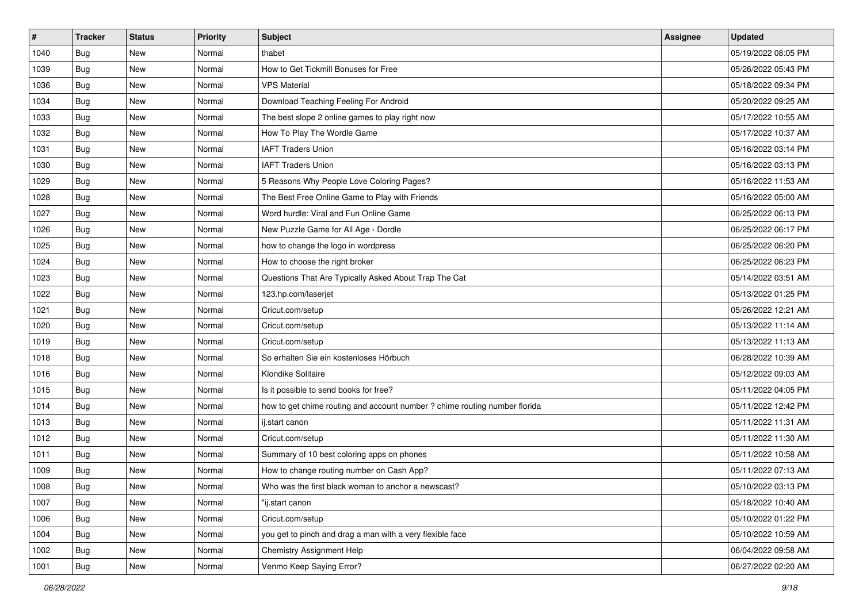| #    | <b>Tracker</b> | <b>Status</b> | <b>Priority</b> | Subject                                                                    | <b>Assignee</b> | <b>Updated</b>      |
|------|----------------|---------------|-----------------|----------------------------------------------------------------------------|-----------------|---------------------|
| 1040 | Bug            | New           | Normal          | thabet                                                                     |                 | 05/19/2022 08:05 PM |
| 1039 | Bug            | <b>New</b>    | Normal          | How to Get Tickmill Bonuses for Free                                       |                 | 05/26/2022 05:43 PM |
| 1036 | Bug            | New           | Normal          | <b>VPS Material</b>                                                        |                 | 05/18/2022 09:34 PM |
| 1034 | Bug            | <b>New</b>    | Normal          | Download Teaching Feeling For Android                                      |                 | 05/20/2022 09:25 AM |
| 1033 | Bug            | <b>New</b>    | Normal          | The best slope 2 online games to play right now                            |                 | 05/17/2022 10:55 AM |
| 1032 | Bug            | <b>New</b>    | Normal          | How To Play The Wordle Game                                                |                 | 05/17/2022 10:37 AM |
| 1031 | Bug            | <b>New</b>    | Normal          | <b>IAFT Traders Union</b>                                                  |                 | 05/16/2022 03:14 PM |
| 1030 | Bug            | <b>New</b>    | Normal          | <b>IAFT Traders Union</b>                                                  |                 | 05/16/2022 03:13 PM |
| 1029 | Bug            | <b>New</b>    | Normal          | 5 Reasons Why People Love Coloring Pages?                                  |                 | 05/16/2022 11:53 AM |
| 1028 | Bug            | <b>New</b>    | Normal          | The Best Free Online Game to Play with Friends                             |                 | 05/16/2022 05:00 AM |
| 1027 | Bug            | New           | Normal          | Word hurdle: Viral and Fun Online Game                                     |                 | 06/25/2022 06:13 PM |
| 1026 | Bug            | <b>New</b>    | Normal          | New Puzzle Game for All Age - Dordle                                       |                 | 06/25/2022 06:17 PM |
| 1025 | Bug            | <b>New</b>    | Normal          | how to change the logo in wordpress                                        |                 | 06/25/2022 06:20 PM |
| 1024 | Bug            | <b>New</b>    | Normal          | How to choose the right broker                                             |                 | 06/25/2022 06:23 PM |
| 1023 | Bug            | <b>New</b>    | Normal          | Questions That Are Typically Asked About Trap The Cat                      |                 | 05/14/2022 03:51 AM |
| 1022 | Bug            | New           | Normal          | 123.hp.com/laserjet                                                        |                 | 05/13/2022 01:25 PM |
| 1021 | Bug            | <b>New</b>    | Normal          | Cricut.com/setup                                                           |                 | 05/26/2022 12:21 AM |
| 1020 | Bug            | New           | Normal          | Cricut.com/setup                                                           |                 | 05/13/2022 11:14 AM |
| 1019 | Bug            | <b>New</b>    | Normal          | Cricut.com/setup                                                           |                 | 05/13/2022 11:13 AM |
| 1018 | Bug            | <b>New</b>    | Normal          | So erhalten Sie ein kostenloses Hörbuch                                    |                 | 06/28/2022 10:39 AM |
| 1016 | Bug            | New           | Normal          | Klondike Solitaire                                                         |                 | 05/12/2022 09:03 AM |
| 1015 | Bug            | <b>New</b>    | Normal          | Is it possible to send books for free?                                     |                 | 05/11/2022 04:05 PM |
| 1014 | Bug            | <b>New</b>    | Normal          | how to get chime routing and account number ? chime routing number florida |                 | 05/11/2022 12:42 PM |
| 1013 | Bug            | <b>New</b>    | Normal          | ij.start canon                                                             |                 | 05/11/2022 11:31 AM |
| 1012 | Bug            | <b>New</b>    | Normal          | Cricut.com/setup                                                           |                 | 05/11/2022 11:30 AM |
| 1011 | Bug            | <b>New</b>    | Normal          | Summary of 10 best coloring apps on phones                                 |                 | 05/11/2022 10:58 AM |
| 1009 | Bug            | New           | Normal          | How to change routing number on Cash App?                                  |                 | 05/11/2022 07:13 AM |
| 1008 | <b>Bug</b>     | New           | Normal          | Who was the first black woman to anchor a newscast?                        |                 | 05/10/2022 03:13 PM |
| 1007 | Bug            | New           | Normal          | "ij.start canon                                                            |                 | 05/18/2022 10:40 AM |
| 1006 | Bug            | New           | Normal          | Cricut.com/setup                                                           |                 | 05/10/2022 01:22 PM |
| 1004 | Bug            | New           | Normal          | you get to pinch and drag a man with a very flexible face                  |                 | 05/10/2022 10:59 AM |
| 1002 | <b>Bug</b>     | New           | Normal          | <b>Chemistry Assignment Help</b>                                           |                 | 06/04/2022 09:58 AM |
| 1001 | <b>Bug</b>     | New           | Normal          | Venmo Keep Saying Error?                                                   |                 | 06/27/2022 02:20 AM |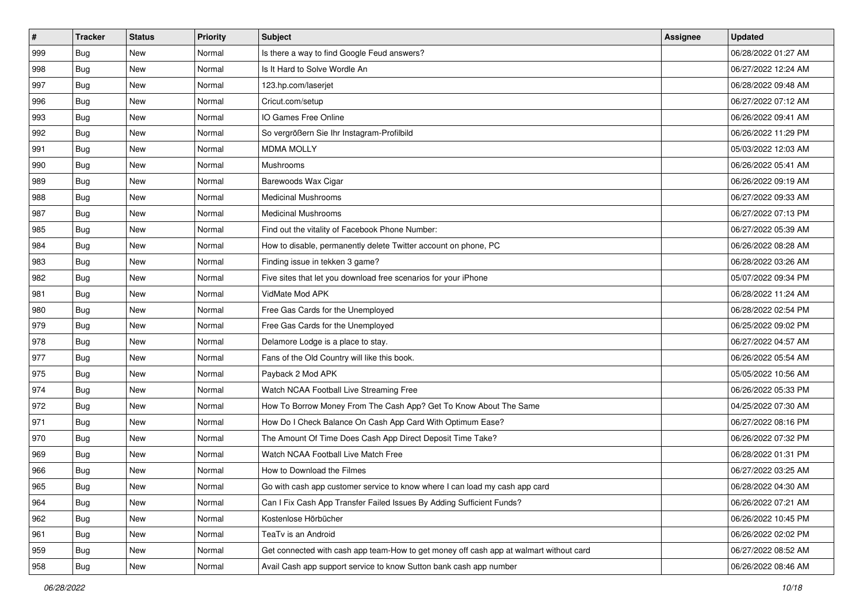| #   | <b>Tracker</b> | <b>Status</b> | <b>Priority</b> | Subject                                                                                | Assignee | <b>Updated</b>      |
|-----|----------------|---------------|-----------------|----------------------------------------------------------------------------------------|----------|---------------------|
| 999 | Bug            | New           | Normal          | Is there a way to find Google Feud answers?                                            |          | 06/28/2022 01:27 AM |
| 998 | Bug            | <b>New</b>    | Normal          | Is It Hard to Solve Wordle An                                                          |          | 06/27/2022 12:24 AM |
| 997 | Bug            | <b>New</b>    | Normal          | 123.hp.com/laserjet                                                                    |          | 06/28/2022 09:48 AM |
| 996 | Bug            | <b>New</b>    | Normal          | Cricut.com/setup                                                                       |          | 06/27/2022 07:12 AM |
| 993 | Bug            | New           | Normal          | IO Games Free Online                                                                   |          | 06/26/2022 09:41 AM |
| 992 | <b>Bug</b>     | <b>New</b>    | Normal          | So vergrößern Sie Ihr Instagram-Profilbild                                             |          | 06/26/2022 11:29 PM |
| 991 | Bug            | <b>New</b>    | Normal          | <b>MDMA MOLLY</b>                                                                      |          | 05/03/2022 12:03 AM |
| 990 | Bug            | <b>New</b>    | Normal          | Mushrooms                                                                              |          | 06/26/2022 05:41 AM |
| 989 | Bug            | <b>New</b>    | Normal          | Barewoods Wax Cigar                                                                    |          | 06/26/2022 09:19 AM |
| 988 | Bug            | <b>New</b>    | Normal          | <b>Medicinal Mushrooms</b>                                                             |          | 06/27/2022 09:33 AM |
| 987 | Bug            | <b>New</b>    | Normal          | <b>Medicinal Mushrooms</b>                                                             |          | 06/27/2022 07:13 PM |
| 985 | Bug            | <b>New</b>    | Normal          | Find out the vitality of Facebook Phone Number:                                        |          | 06/27/2022 05:39 AM |
| 984 | Bug            | <b>New</b>    | Normal          | How to disable, permanently delete Twitter account on phone, PC                        |          | 06/26/2022 08:28 AM |
| 983 | Bug            | <b>New</b>    | Normal          | Finding issue in tekken 3 game?                                                        |          | 06/28/2022 03:26 AM |
| 982 | Bug            | <b>New</b>    | Normal          | Five sites that let you download free scenarios for your iPhone                        |          | 05/07/2022 09:34 PM |
| 981 | Bug            | New           | Normal          | VidMate Mod APK                                                                        |          | 06/28/2022 11:24 AM |
| 980 | Bug            | <b>New</b>    | Normal          | Free Gas Cards for the Unemployed                                                      |          | 06/28/2022 02:54 PM |
| 979 | Bug            | <b>New</b>    | Normal          | Free Gas Cards for the Unemployed                                                      |          | 06/25/2022 09:02 PM |
| 978 | Bug            | <b>New</b>    | Normal          | Delamore Lodge is a place to stay.                                                     |          | 06/27/2022 04:57 AM |
| 977 | Bug            | <b>New</b>    | Normal          | Fans of the Old Country will like this book.                                           |          | 06/26/2022 05:54 AM |
| 975 | Bug            | New           | Normal          | Payback 2 Mod APK                                                                      |          | 05/05/2022 10:56 AM |
| 974 | Bug            | <b>New</b>    | Normal          | Watch NCAA Football Live Streaming Free                                                |          | 06/26/2022 05:33 PM |
| 972 | Bug            | <b>New</b>    | Normal          | How To Borrow Money From The Cash App? Get To Know About The Same                      |          | 04/25/2022 07:30 AM |
| 971 | <b>Bug</b>     | <b>New</b>    | Normal          | How Do I Check Balance On Cash App Card With Optimum Ease?                             |          | 06/27/2022 08:16 PM |
| 970 | Bug            | <b>New</b>    | Normal          | The Amount Of Time Does Cash App Direct Deposit Time Take?                             |          | 06/26/2022 07:32 PM |
| 969 | Bug            | <b>New</b>    | Normal          | Watch NCAA Football Live Match Free                                                    |          | 06/28/2022 01:31 PM |
| 966 | Bug            | <b>New</b>    | Normal          | How to Download the Filmes                                                             |          | 06/27/2022 03:25 AM |
| 965 | <b>Bug</b>     | New           | Normal          | Go with cash app customer service to know where I can load my cash app card            |          | 06/28/2022 04:30 AM |
| 964 | Bug            | New           | Normal          | Can I Fix Cash App Transfer Failed Issues By Adding Sufficient Funds?                  |          | 06/26/2022 07:21 AM |
| 962 | Bug            | New           | Normal          | Kostenlose Hörbücher                                                                   |          | 06/26/2022 10:45 PM |
| 961 | Bug            | New           | Normal          | TeaTv is an Android                                                                    |          | 06/26/2022 02:02 PM |
| 959 | <b>Bug</b>     | New           | Normal          | Get connected with cash app team-How to get money off cash app at walmart without card |          | 06/27/2022 08:52 AM |
| 958 | <b>Bug</b>     | New           | Normal          | Avail Cash app support service to know Sutton bank cash app number                     |          | 06/26/2022 08:46 AM |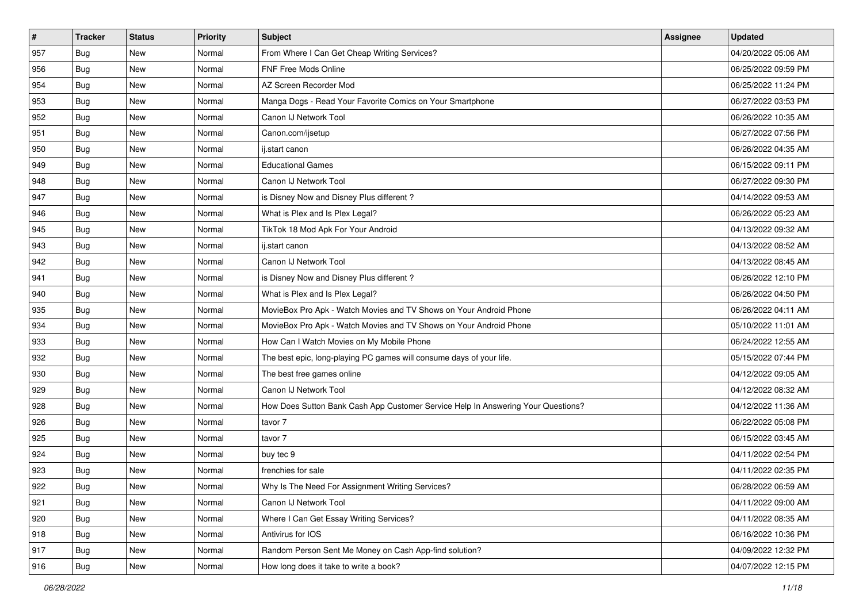| #             | <b>Tracker</b> | <b>Status</b> | <b>Priority</b> | <b>Subject</b>                                                                   | Assignee | <b>Updated</b>      |
|---------------|----------------|---------------|-----------------|----------------------------------------------------------------------------------|----------|---------------------|
| 957           | Bug            | New           | Normal          | From Where I Can Get Cheap Writing Services?                                     |          | 04/20/2022 05:06 AM |
| 956           | Bug            | <b>New</b>    | Normal          | FNF Free Mods Online                                                             |          | 06/25/2022 09:59 PM |
| 954           | Bug            | <b>New</b>    | Normal          | AZ Screen Recorder Mod                                                           |          | 06/25/2022 11:24 PM |
| 953           | Bug            | <b>New</b>    | Normal          | Manga Dogs - Read Your Favorite Comics on Your Smartphone                        |          | 06/27/2022 03:53 PM |
| 952           | Bug            | New           | Normal          | Canon IJ Network Tool                                                            |          | 06/26/2022 10:35 AM |
| 951           | <b>Bug</b>     | <b>New</b>    | Normal          | Canon.com/ijsetup                                                                |          | 06/27/2022 07:56 PM |
| 950           | Bug            | <b>New</b>    | Normal          | ij.start canon                                                                   |          | 06/26/2022 04:35 AM |
| 949           | Bug            | <b>New</b>    | Normal          | <b>Educational Games</b>                                                         |          | 06/15/2022 09:11 PM |
| 948           | Bug            | <b>New</b>    | Normal          | Canon IJ Network Tool                                                            |          | 06/27/2022 09:30 PM |
| 947           | Bug            | <b>New</b>    | Normal          | is Disney Now and Disney Plus different?                                         |          | 04/14/2022 09:53 AM |
| 946           | Bug            | <b>New</b>    | Normal          | What is Plex and Is Plex Legal?                                                  |          | 06/26/2022 05:23 AM |
| 945           | Bug            | <b>New</b>    | Normal          | TikTok 18 Mod Apk For Your Android                                               |          | 04/13/2022 09:32 AM |
| 943           | Bug            | <b>New</b>    | Normal          | ij.start canon                                                                   |          | 04/13/2022 08:52 AM |
| 942           | Bug            | New           | Normal          | Canon IJ Network Tool                                                            |          | 04/13/2022 08:45 AM |
| 941           | Bug            | <b>New</b>    | Normal          | is Disney Now and Disney Plus different?                                         |          | 06/26/2022 12:10 PM |
| 940           | Bug            | New           | Normal          | What is Plex and Is Plex Legal?                                                  |          | 06/26/2022 04:50 PM |
| 935           | Bug            | <b>New</b>    | Normal          | MovieBox Pro Apk - Watch Movies and TV Shows on Your Android Phone               |          | 06/26/2022 04:11 AM |
| 934           | Bug            | <b>New</b>    | Normal          | MovieBox Pro Apk - Watch Movies and TV Shows on Your Android Phone               |          | 05/10/2022 11:01 AM |
| 933           | Bug            | <b>New</b>    | Normal          | How Can I Watch Movies on My Mobile Phone                                        |          | 06/24/2022 12:55 AM |
| 932           | Bug            | <b>New</b>    | Normal          | The best epic, long-playing PC games will consume days of your life.             |          | 05/15/2022 07:44 PM |
| 930           | Bug            | <b>New</b>    | Normal          | The best free games online                                                       |          | 04/12/2022 09:05 AM |
| 929           | <b>Bug</b>     | <b>New</b>    | Normal          | Canon IJ Network Tool                                                            |          | 04/12/2022 08:32 AM |
| 928           | Bug            | <b>New</b>    | Normal          | How Does Sutton Bank Cash App Customer Service Help In Answering Your Questions? |          | 04/12/2022 11:36 AM |
| 926           | <b>Bug</b>     | <b>New</b>    | Normal          | tavor 7                                                                          |          | 06/22/2022 05:08 PM |
| 925           | Bug            | <b>New</b>    | Normal          | tavor 7                                                                          |          | 06/15/2022 03:45 AM |
| 924           | Bug            | <b>New</b>    | Normal          | buy tec 9                                                                        |          | 04/11/2022 02:54 PM |
| 923           | Bug            | <b>New</b>    | Normal          | frenchies for sale                                                               |          | 04/11/2022 02:35 PM |
| 922           | <b>Bug</b>     | New           | Normal          | Why Is The Need For Assignment Writing Services?                                 |          | 06/28/2022 06:59 AM |
| 921           | Bug            | New           | Normal          | Canon IJ Network Tool                                                            |          | 04/11/2022 09:00 AM |
| $ 920\rangle$ | Bug            | New           | Normal          | Where I Can Get Essay Writing Services?                                          |          | 04/11/2022 08:35 AM |
| 918           | Bug            | New           | Normal          | Antivirus for IOS                                                                |          | 06/16/2022 10:36 PM |
| 917           | Bug            | New           | Normal          | Random Person Sent Me Money on Cash App-find solution?                           |          | 04/09/2022 12:32 PM |
| 916           | <b>Bug</b>     | New           | Normal          | How long does it take to write a book?                                           |          | 04/07/2022 12:15 PM |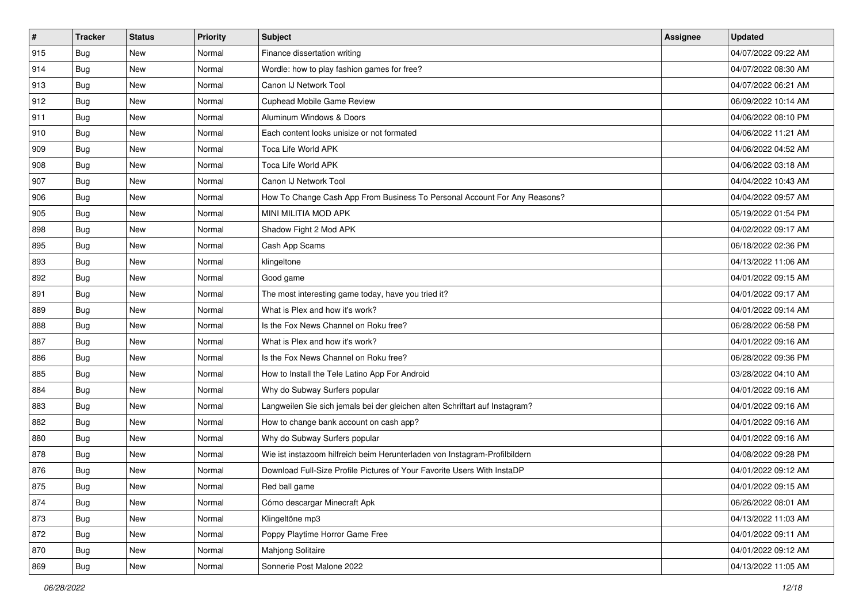| $\sharp$ | <b>Tracker</b> | <b>Status</b> | <b>Priority</b> | Subject                                                                     | Assignee | <b>Updated</b>      |
|----------|----------------|---------------|-----------------|-----------------------------------------------------------------------------|----------|---------------------|
| 915      | Bug            | New           | Normal          | Finance dissertation writing                                                |          | 04/07/2022 09:22 AM |
| 914      | Bug            | <b>New</b>    | Normal          | Wordle: how to play fashion games for free?                                 |          | 04/07/2022 08:30 AM |
| 913      | Bug            | New           | Normal          | Canon IJ Network Tool                                                       |          | 04/07/2022 06:21 AM |
| 912      | Bug            | New           | Normal          | Cuphead Mobile Game Review                                                  |          | 06/09/2022 10:14 AM |
| 911      | Bug            | <b>New</b>    | Normal          | Aluminum Windows & Doors                                                    |          | 04/06/2022 08:10 PM |
| 910      | Bug            | New           | Normal          | Each content looks unisize or not formated                                  |          | 04/06/2022 11:21 AM |
| 909      | Bug            | New           | Normal          | Toca Life World APK                                                         |          | 04/06/2022 04:52 AM |
| 908      | Bug            | New           | Normal          | Toca Life World APK                                                         |          | 04/06/2022 03:18 AM |
| 907      | Bug            | New           | Normal          | Canon IJ Network Tool                                                       |          | 04/04/2022 10:43 AM |
| 906      | Bug            | <b>New</b>    | Normal          | How To Change Cash App From Business To Personal Account For Any Reasons?   |          | 04/04/2022 09:57 AM |
| 905      | Bug            | New           | Normal          | MINI MILITIA MOD APK                                                        |          | 05/19/2022 01:54 PM |
| 898      | Bug            | New           | Normal          | Shadow Fight 2 Mod APK                                                      |          | 04/02/2022 09:17 AM |
| 895      | Bug            | New           | Normal          | Cash App Scams                                                              |          | 06/18/2022 02:36 PM |
| 893      | Bug            | New           | Normal          | klingeltone                                                                 |          | 04/13/2022 11:06 AM |
| 892      | Bug            | New           | Normal          | Good game                                                                   |          | 04/01/2022 09:15 AM |
| 891      | Bug            | New           | Normal          | The most interesting game today, have you tried it?                         |          | 04/01/2022 09:17 AM |
| 889      | Bug            | New           | Normal          | What is Plex and how it's work?                                             |          | 04/01/2022 09:14 AM |
| 888      | Bug            | New           | Normal          | Is the Fox News Channel on Roku free?                                       |          | 06/28/2022 06:58 PM |
| 887      | Bug            | New           | Normal          | What is Plex and how it's work?                                             |          | 04/01/2022 09:16 AM |
| 886      | Bug            | <b>New</b>    | Normal          | Is the Fox News Channel on Roku free?                                       |          | 06/28/2022 09:36 PM |
| 885      | Bug            | New           | Normal          | How to Install the Tele Latino App For Android                              |          | 03/28/2022 04:10 AM |
| 884      | Bug            | <b>New</b>    | Normal          | Why do Subway Surfers popular                                               |          | 04/01/2022 09:16 AM |
| 883      | Bug            | <b>New</b>    | Normal          | Langweilen Sie sich jemals bei der gleichen alten Schriftart auf Instagram? |          | 04/01/2022 09:16 AM |
| 882      | <b>Bug</b>     | New           | Normal          | How to change bank account on cash app?                                     |          | 04/01/2022 09:16 AM |
| 880      | Bug            | New           | Normal          | Why do Subway Surfers popular                                               |          | 04/01/2022 09:16 AM |
| 878      | Bug            | New           | Normal          | Wie ist instazoom hilfreich beim Herunterladen von Instagram-Profilbildern  |          | 04/08/2022 09:28 PM |
| 876      | <b>Bug</b>     | New           | Normal          | Download Full-Size Profile Pictures of Your Favorite Users With InstaDP     |          | 04/01/2022 09:12 AM |
| 875      | Bug            | New           | Normal          | Red ball game                                                               |          | 04/01/2022 09:15 AM |
| 874      | Bug            | New           | Normal          | Cómo descargar Minecraft Apk                                                |          | 06/26/2022 08:01 AM |
| 873      | Bug            | New           | Normal          | Klingeltöne mp3                                                             |          | 04/13/2022 11:03 AM |
| 872      | <b>Bug</b>     | New           | Normal          | Poppy Playtime Horror Game Free                                             |          | 04/01/2022 09:11 AM |
| 870      | <b>Bug</b>     | New           | Normal          | Mahjong Solitaire                                                           |          | 04/01/2022 09:12 AM |
| 869      | <b>Bug</b>     | New           | Normal          | Sonnerie Post Malone 2022                                                   |          | 04/13/2022 11:05 AM |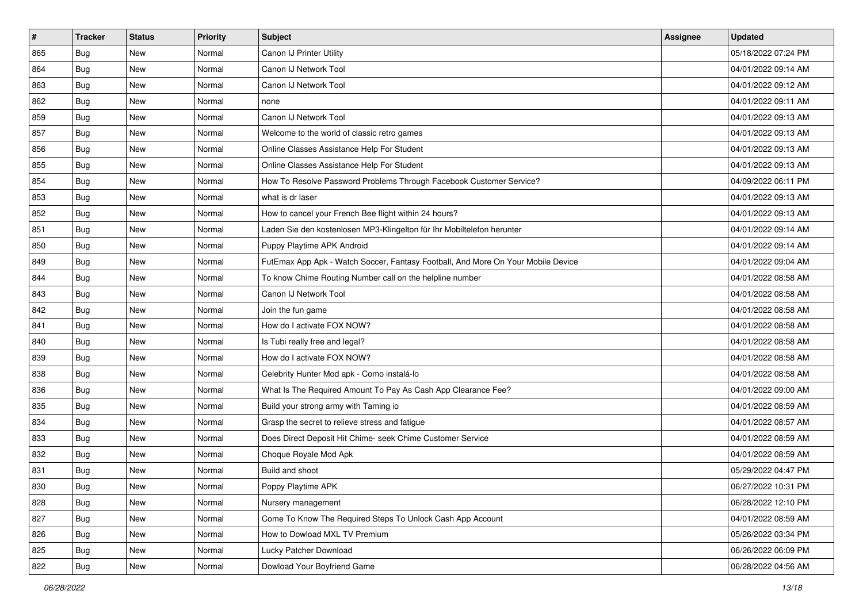| $\sharp$ | <b>Tracker</b> | <b>Status</b> | <b>Priority</b> | Subject                                                                          | Assignee | <b>Updated</b>      |
|----------|----------------|---------------|-----------------|----------------------------------------------------------------------------------|----------|---------------------|
| 865      | Bug            | New           | Normal          | Canon IJ Printer Utility                                                         |          | 05/18/2022 07:24 PM |
| 864      | Bug            | <b>New</b>    | Normal          | Canon IJ Network Tool                                                            |          | 04/01/2022 09:14 AM |
| 863      | Bug            | New           | Normal          | Canon IJ Network Tool                                                            |          | 04/01/2022 09:12 AM |
| 862      | Bug            | New           | Normal          | none                                                                             |          | 04/01/2022 09:11 AM |
| 859      | Bug            | <b>New</b>    | Normal          | Canon IJ Network Tool                                                            |          | 04/01/2022 09:13 AM |
| 857      | Bug            | New           | Normal          | Welcome to the world of classic retro games                                      |          | 04/01/2022 09:13 AM |
| 856      | Bug            | New           | Normal          | Online Classes Assistance Help For Student                                       |          | 04/01/2022 09:13 AM |
| 855      | Bug            | New           | Normal          | Online Classes Assistance Help For Student                                       |          | 04/01/2022 09:13 AM |
| 854      | Bug            | New           | Normal          | How To Resolve Password Problems Through Facebook Customer Service?              |          | 04/09/2022 06:11 PM |
| 853      | Bug            | <b>New</b>    | Normal          | what is dr laser                                                                 |          | 04/01/2022 09:13 AM |
| 852      | Bug            | New           | Normal          | How to cancel your French Bee flight within 24 hours?                            |          | 04/01/2022 09:13 AM |
| 851      | Bug            | New           | Normal          | Laden Sie den kostenlosen MP3-Klingelton für Ihr Mobiltelefon herunter           |          | 04/01/2022 09:14 AM |
| 850      | Bug            | New           | Normal          | Puppy Playtime APK Android                                                       |          | 04/01/2022 09:14 AM |
| 849      | Bug            | New           | Normal          | FutEmax App Apk - Watch Soccer, Fantasy Football, And More On Your Mobile Device |          | 04/01/2022 09:04 AM |
| 844      | Bug            | <b>New</b>    | Normal          | To know Chime Routing Number call on the helpline number                         |          | 04/01/2022 08:58 AM |
| 843      | Bug            | New           | Normal          | Canon IJ Network Tool                                                            |          | 04/01/2022 08:58 AM |
| 842      | Bug            | New           | Normal          | Join the fun game                                                                |          | 04/01/2022 08:58 AM |
| 841      | Bug            | New           | Normal          | How do I activate FOX NOW?                                                       |          | 04/01/2022 08:58 AM |
| 840      | Bug            | New           | Normal          | Is Tubi really free and legal?                                                   |          | 04/01/2022 08:58 AM |
| 839      | Bug            | <b>New</b>    | Normal          | How do I activate FOX NOW?                                                       |          | 04/01/2022 08:58 AM |
| 838      | Bug            | New           | Normal          | Celebrity Hunter Mod apk - Como instalá-lo                                       |          | 04/01/2022 08:58 AM |
| 836      | Bug            | <b>New</b>    | Normal          | What Is The Required Amount To Pay As Cash App Clearance Fee?                    |          | 04/01/2022 09:00 AM |
| 835      | Bug            | <b>New</b>    | Normal          | Build your strong army with Taming io                                            |          | 04/01/2022 08:59 AM |
| 834      | Bug            | New           | Normal          | Grasp the secret to relieve stress and fatigue                                   |          | 04/01/2022 08:57 AM |
| 833      | Bug            | New           | Normal          | Does Direct Deposit Hit Chime- seek Chime Customer Service                       |          | 04/01/2022 08:59 AM |
| 832      | Bug            | New           | Normal          | Choque Royale Mod Apk                                                            |          | 04/01/2022 08:59 AM |
| 831      | <b>Bug</b>     | New           | Normal          | Build and shoot                                                                  |          | 05/29/2022 04:47 PM |
| 830      | I Bug          | New           | Normal          | Poppy Playtime APK                                                               |          | 06/27/2022 10:31 PM |
| 828      | Bug            | New           | Normal          | Nursery management                                                               |          | 06/28/2022 12:10 PM |
| 827      | <b>Bug</b>     | New           | Normal          | Come To Know The Required Steps To Unlock Cash App Account                       |          | 04/01/2022 08:59 AM |
| 826      | <b>Bug</b>     | New           | Normal          | How to Dowload MXL TV Premium                                                    |          | 05/26/2022 03:34 PM |
| 825      | <b>Bug</b>     | New           | Normal          | Lucky Patcher Download                                                           |          | 06/26/2022 06:09 PM |
| 822      | Bug            | New           | Normal          | Dowload Your Boyfriend Game                                                      |          | 06/28/2022 04:56 AM |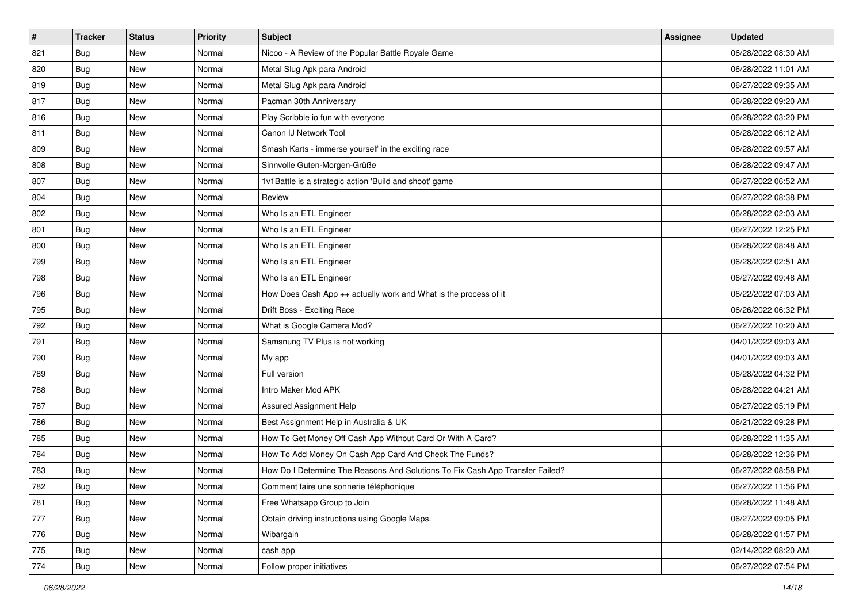| #   | <b>Tracker</b> | <b>Status</b> | <b>Priority</b> | Subject                                                                       | Assignee | <b>Updated</b>      |
|-----|----------------|---------------|-----------------|-------------------------------------------------------------------------------|----------|---------------------|
| 821 | Bug            | New           | Normal          | Nicoo - A Review of the Popular Battle Royale Game                            |          | 06/28/2022 08:30 AM |
| 820 | Bug            | <b>New</b>    | Normal          | Metal Slug Apk para Android                                                   |          | 06/28/2022 11:01 AM |
| 819 | Bug            | New           | Normal          | Metal Slug Apk para Android                                                   |          | 06/27/2022 09:35 AM |
| 817 | Bug            | New           | Normal          | Pacman 30th Anniversary                                                       |          | 06/28/2022 09:20 AM |
| 816 | Bug            | New           | Normal          | Play Scribble io fun with everyone                                            |          | 06/28/2022 03:20 PM |
| 811 | Bug            | New           | Normal          | Canon IJ Network Tool                                                         |          | 06/28/2022 06:12 AM |
| 809 | Bug            | <b>New</b>    | Normal          | Smash Karts - immerse yourself in the exciting race                           |          | 06/28/2022 09:57 AM |
| 808 | Bug            | New           | Normal          | Sinnvolle Guten-Morgen-Grüße                                                  |          | 06/28/2022 09:47 AM |
| 807 | Bug            | New           | Normal          | 1v1Battle is a strategic action 'Build and shoot' game                        |          | 06/27/2022 06:52 AM |
| 804 | Bug            | <b>New</b>    | Normal          | Review                                                                        |          | 06/27/2022 08:38 PM |
| 802 | Bug            | New           | Normal          | Who Is an ETL Engineer                                                        |          | 06/28/2022 02:03 AM |
| 801 | Bug            | New           | Normal          | Who Is an ETL Engineer                                                        |          | 06/27/2022 12:25 PM |
| 800 | Bug            | New           | Normal          | Who Is an ETL Engineer                                                        |          | 06/28/2022 08:48 AM |
| 799 | Bug            | <b>New</b>    | Normal          | Who Is an ETL Engineer                                                        |          | 06/28/2022 02:51 AM |
| 798 | Bug            | <b>New</b>    | Normal          | Who Is an ETL Engineer                                                        |          | 06/27/2022 09:48 AM |
| 796 | Bug            | New           | Normal          | How Does Cash App ++ actually work and What is the process of it              |          | 06/22/2022 07:03 AM |
| 795 | Bug            | New           | Normal          | Drift Boss - Exciting Race                                                    |          | 06/26/2022 06:32 PM |
| 792 | Bug            | New           | Normal          | What is Google Camera Mod?                                                    |          | 06/27/2022 10:20 AM |
| 791 | Bug            | New           | Normal          | Samsnung TV Plus is not working                                               |          | 04/01/2022 09:03 AM |
| 790 | Bug            | <b>New</b>    | Normal          | My app                                                                        |          | 04/01/2022 09:03 AM |
| 789 | <b>Bug</b>     | New           | Normal          | Full version                                                                  |          | 06/28/2022 04:32 PM |
| 788 | Bug            | New           | Normal          | Intro Maker Mod APK                                                           |          | 06/28/2022 04:21 AM |
| 787 | Bug            | New           | Normal          | Assured Assignment Help                                                       |          | 06/27/2022 05:19 PM |
| 786 | Bug            | New           | Normal          | Best Assignment Help in Australia & UK                                        |          | 06/21/2022 09:28 PM |
| 785 | Bug            | New           | Normal          | How To Get Money Off Cash App Without Card Or With A Card?                    |          | 06/28/2022 11:35 AM |
| 784 | Bug            | New           | Normal          | How To Add Money On Cash App Card And Check The Funds?                        |          | 06/28/2022 12:36 PM |
| 783 | Bug            | New           | Normal          | How Do I Determine The Reasons And Solutions To Fix Cash App Transfer Failed? |          | 06/27/2022 08:58 PM |
| 782 | <b>Bug</b>     | New           | Normal          | Comment faire une sonnerie téléphonique                                       |          | 06/27/2022 11:56 PM |
| 781 | <b>Bug</b>     | New           | Normal          | Free Whatsapp Group to Join                                                   |          | 06/28/2022 11:48 AM |
| 777 | <b>Bug</b>     | New           | Normal          | Obtain driving instructions using Google Maps.                                |          | 06/27/2022 09:05 PM |
| 776 | Bug            | New           | Normal          | Wibargain                                                                     |          | 06/28/2022 01:57 PM |
| 775 | Bug            | New           | Normal          | cash app                                                                      |          | 02/14/2022 08:20 AM |
| 774 | <b>Bug</b>     | New           | Normal          | Follow proper initiatives                                                     |          | 06/27/2022 07:54 PM |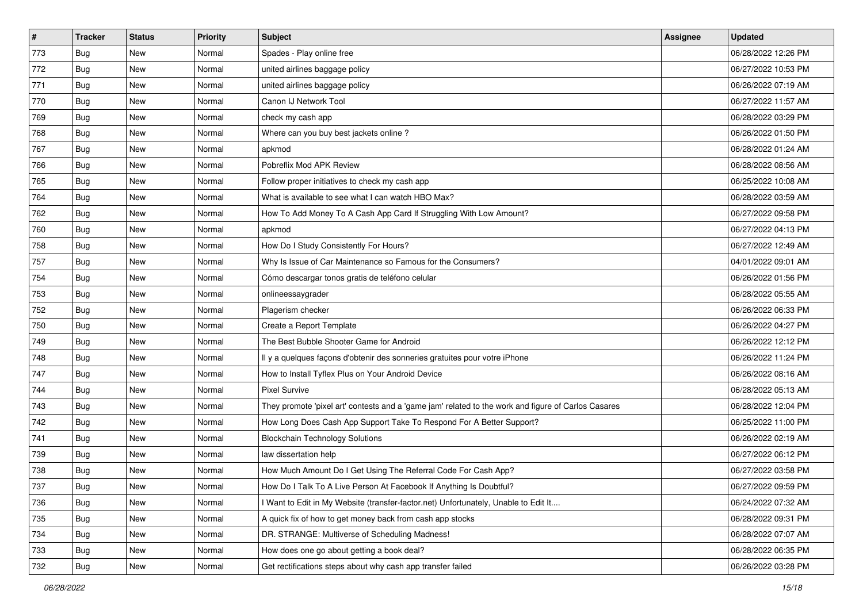| #   | <b>Tracker</b> | <b>Status</b> | <b>Priority</b> | <b>Subject</b>                                                                                      | Assignee | <b>Updated</b>      |
|-----|----------------|---------------|-----------------|-----------------------------------------------------------------------------------------------------|----------|---------------------|
| 773 | Bug            | New           | Normal          | Spades - Play online free                                                                           |          | 06/28/2022 12:26 PM |
| 772 | Bug            | <b>New</b>    | Normal          | united airlines baggage policy                                                                      |          | 06/27/2022 10:53 PM |
| 771 | Bug            | <b>New</b>    | Normal          | united airlines baggage policy                                                                      |          | 06/26/2022 07:19 AM |
| 770 | Bug            | <b>New</b>    | Normal          | Canon IJ Network Tool                                                                               |          | 06/27/2022 11:57 AM |
| 769 | Bug            | <b>New</b>    | Normal          | check my cash app                                                                                   |          | 06/28/2022 03:29 PM |
| 768 | Bug            | <b>New</b>    | Normal          | Where can you buy best jackets online?                                                              |          | 06/26/2022 01:50 PM |
| 767 | Bug            | <b>New</b>    | Normal          | apkmod                                                                                              |          | 06/28/2022 01:24 AM |
| 766 | Bug            | <b>New</b>    | Normal          | Pobreflix Mod APK Review                                                                            |          | 06/28/2022 08:56 AM |
| 765 | Bug            | <b>New</b>    | Normal          | Follow proper initiatives to check my cash app                                                      |          | 06/25/2022 10:08 AM |
| 764 | Bug            | <b>New</b>    | Normal          | What is available to see what I can watch HBO Max?                                                  |          | 06/28/2022 03:59 AM |
| 762 | Bug            | <b>New</b>    | Normal          | How To Add Money To A Cash App Card If Struggling With Low Amount?                                  |          | 06/27/2022 09:58 PM |
| 760 | Bug            | <b>New</b>    | Normal          | apkmod                                                                                              |          | 06/27/2022 04:13 PM |
| 758 | Bug            | <b>New</b>    | Normal          | How Do I Study Consistently For Hours?                                                              |          | 06/27/2022 12:49 AM |
| 757 | Bug            | <b>New</b>    | Normal          | Why Is Issue of Car Maintenance so Famous for the Consumers?                                        |          | 04/01/2022 09:01 AM |
| 754 | Bug            | <b>New</b>    | Normal          | Cómo descargar tonos gratis de teléfono celular                                                     |          | 06/26/2022 01:56 PM |
| 753 | Bug            | <b>New</b>    | Normal          | onlineessaygrader                                                                                   |          | 06/28/2022 05:55 AM |
| 752 | <b>Bug</b>     | <b>New</b>    | Normal          | Plagerism checker                                                                                   |          | 06/26/2022 06:33 PM |
| 750 | Bug            | <b>New</b>    | Normal          | Create a Report Template                                                                            |          | 06/26/2022 04:27 PM |
| 749 | Bug            | <b>New</b>    | Normal          | The Best Bubble Shooter Game for Android                                                            |          | 06/26/2022 12:12 PM |
| 748 | Bug            | <b>New</b>    | Normal          | Il y a quelques façons d'obtenir des sonneries gratuites pour votre iPhone                          |          | 06/26/2022 11:24 PM |
| 747 | Bug            | <b>New</b>    | Normal          | How to Install Tyflex Plus on Your Android Device                                                   |          | 06/26/2022 08:16 AM |
| 744 | Bug            | <b>New</b>    | Normal          | <b>Pixel Survive</b>                                                                                |          | 06/28/2022 05:13 AM |
| 743 | Bug            | <b>New</b>    | Normal          | They promote 'pixel art' contests and a 'game jam' related to the work and figure of Carlos Casares |          | 06/28/2022 12:04 PM |
| 742 | <b>Bug</b>     | <b>New</b>    | Normal          | How Long Does Cash App Support Take To Respond For A Better Support?                                |          | 06/25/2022 11:00 PM |
| 741 | Bug            | <b>New</b>    | Normal          | <b>Blockchain Technology Solutions</b>                                                              |          | 06/26/2022 02:19 AM |
| 739 | Bug            | <b>New</b>    | Normal          | law dissertation help                                                                               |          | 06/27/2022 06:12 PM |
| 738 | <b>Bug</b>     | <b>New</b>    | Normal          | How Much Amount Do I Get Using The Referral Code For Cash App?                                      |          | 06/27/2022 03:58 PM |
| 737 | <b>Bug</b>     | New           | Normal          | How Do I Talk To A Live Person At Facebook If Anything Is Doubtful?                                 |          | 06/27/2022 09:59 PM |
| 736 | Bug            | New           | Normal          | I Want to Edit in My Website (transfer-factor.net) Unfortunately, Unable to Edit It                 |          | 06/24/2022 07:32 AM |
| 735 | <b>Bug</b>     | New           | Normal          | A quick fix of how to get money back from cash app stocks                                           |          | 06/28/2022 09:31 PM |
| 734 | <b>Bug</b>     | New           | Normal          | DR. STRANGE: Multiverse of Scheduling Madness!                                                      |          | 06/28/2022 07:07 AM |
| 733 | <b>Bug</b>     | New           | Normal          | How does one go about getting a book deal?                                                          |          | 06/28/2022 06:35 PM |
| 732 | <b>Bug</b>     | New           | Normal          | Get rectifications steps about why cash app transfer failed                                         |          | 06/26/2022 03:28 PM |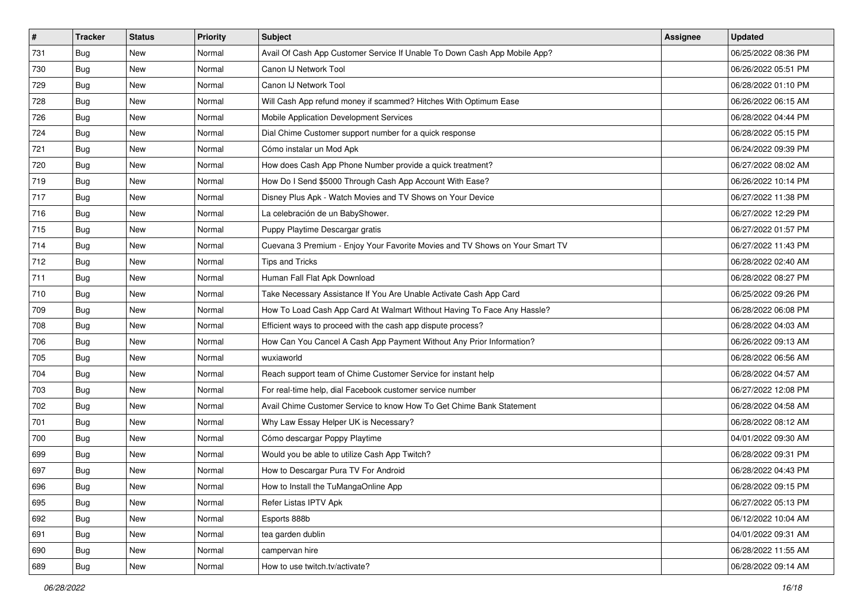| #   | <b>Tracker</b> | <b>Status</b> | <b>Priority</b> | <b>Subject</b>                                                               | <b>Assignee</b> | <b>Updated</b>      |
|-----|----------------|---------------|-----------------|------------------------------------------------------------------------------|-----------------|---------------------|
| 731 | Bug            | <b>New</b>    | Normal          | Avail Of Cash App Customer Service If Unable To Down Cash App Mobile App?    |                 | 06/25/2022 08:36 PM |
| 730 | Bug            | New           | Normal          | Canon IJ Network Tool                                                        |                 | 06/26/2022 05:51 PM |
| 729 | Bug            | New           | Normal          | Canon IJ Network Tool                                                        |                 | 06/28/2022 01:10 PM |
| 728 | Bug            | <b>New</b>    | Normal          | Will Cash App refund money if scammed? Hitches With Optimum Ease             |                 | 06/26/2022 06:15 AM |
| 726 | Bug            | New           | Normal          | Mobile Application Development Services                                      |                 | 06/28/2022 04:44 PM |
| 724 | Bug            | <b>New</b>    | Normal          | Dial Chime Customer support number for a quick response                      |                 | 06/28/2022 05:15 PM |
| 721 | Bug            | New           | Normal          | Cómo instalar un Mod Apk                                                     |                 | 06/24/2022 09:39 PM |
| 720 | Bug            | <b>New</b>    | Normal          | How does Cash App Phone Number provide a quick treatment?                    |                 | 06/27/2022 08:02 AM |
| 719 | Bug            | New           | Normal          | How Do I Send \$5000 Through Cash App Account With Ease?                     |                 | 06/26/2022 10:14 PM |
| 717 | Bug            | <b>New</b>    | Normal          | Disney Plus Apk - Watch Movies and TV Shows on Your Device                   |                 | 06/27/2022 11:38 PM |
| 716 | Bug            | New           | Normal          | La celebración de un BabyShower.                                             |                 | 06/27/2022 12:29 PM |
| 715 | Bug            | <b>New</b>    | Normal          | Puppy Playtime Descargar gratis                                              |                 | 06/27/2022 01:57 PM |
| 714 | Bug            | <b>New</b>    | Normal          | Cuevana 3 Premium - Enjoy Your Favorite Movies and TV Shows on Your Smart TV |                 | 06/27/2022 11:43 PM |
| 712 | Bug            | New           | Normal          | Tips and Tricks                                                              |                 | 06/28/2022 02:40 AM |
| 711 | Bug            | <b>New</b>    | Normal          | Human Fall Flat Apk Download                                                 |                 | 06/28/2022 08:27 PM |
| 710 | Bug            | New           | Normal          | Take Necessary Assistance If You Are Unable Activate Cash App Card           |                 | 06/25/2022 09:26 PM |
| 709 | <b>Bug</b>     | <b>New</b>    | Normal          | How To Load Cash App Card At Walmart Without Having To Face Any Hassle?      |                 | 06/28/2022 06:08 PM |
| 708 | Bug            | New           | Normal          | Efficient ways to proceed with the cash app dispute process?                 |                 | 06/28/2022 04:03 AM |
| 706 | Bug            | <b>New</b>    | Normal          | How Can You Cancel A Cash App Payment Without Any Prior Information?         |                 | 06/26/2022 09:13 AM |
| 705 | Bug            | New           | Normal          | wuxiaworld                                                                   |                 | 06/28/2022 06:56 AM |
| 704 | Bug            | <b>New</b>    | Normal          | Reach support team of Chime Customer Service for instant help                |                 | 06/28/2022 04:57 AM |
| 703 | Bug            | New           | Normal          | For real-time help, dial Facebook customer service number                    |                 | 06/27/2022 12:08 PM |
| 702 | Bug            | <b>New</b>    | Normal          | Avail Chime Customer Service to know How To Get Chime Bank Statement         |                 | 06/28/2022 04:58 AM |
| 701 | <b>Bug</b>     | New           | Normal          | Why Law Essay Helper UK is Necessary?                                        |                 | 06/28/2022 08:12 AM |
| 700 | Bug            | New           | Normal          | Cómo descargar Poppy Playtime                                                |                 | 04/01/2022 09:30 AM |
| 699 | Bug            | <b>New</b>    | Normal          | Would you be able to utilize Cash App Twitch?                                |                 | 06/28/2022 09:31 PM |
| 697 | Bug            | New           | Normal          | How to Descargar Pura TV For Android                                         |                 | 06/28/2022 04:43 PM |
| 696 | Bug            | New           | Normal          | How to Install the TuMangaOnline App                                         |                 | 06/28/2022 09:15 PM |
| 695 | Bug            | New           | Normal          | Refer Listas IPTV Apk                                                        |                 | 06/27/2022 05:13 PM |
| 692 | <b>Bug</b>     | New           | Normal          | Esports 888b                                                                 |                 | 06/12/2022 10:04 AM |
| 691 | Bug            | New           | Normal          | tea garden dublin                                                            |                 | 04/01/2022 09:31 AM |
| 690 | Bug            | New           | Normal          | campervan hire                                                               |                 | 06/28/2022 11:55 AM |
| 689 | <b>Bug</b>     | New           | Normal          | How to use twitch.tv/activate?                                               |                 | 06/28/2022 09:14 AM |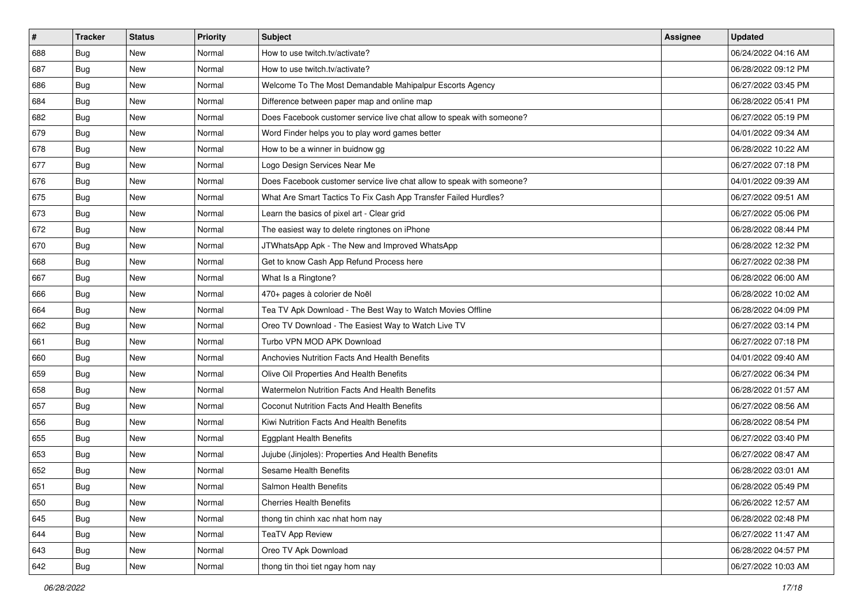| $\sharp$ | <b>Tracker</b> | <b>Status</b> | <b>Priority</b> | Subject                                                               | Assignee | <b>Updated</b>      |
|----------|----------------|---------------|-----------------|-----------------------------------------------------------------------|----------|---------------------|
| 688      | Bug            | New           | Normal          | How to use twitch.tv/activate?                                        |          | 06/24/2022 04:16 AM |
| 687      | Bug            | <b>New</b>    | Normal          | How to use twitch.tv/activate?                                        |          | 06/28/2022 09:12 PM |
| 686      | Bug            | New           | Normal          | Welcome To The Most Demandable Mahipalpur Escorts Agency              |          | 06/27/2022 03:45 PM |
| 684      | Bug            | New           | Normal          | Difference between paper map and online map                           |          | 06/28/2022 05:41 PM |
| 682      | Bug            | <b>New</b>    | Normal          | Does Facebook customer service live chat allow to speak with someone? |          | 06/27/2022 05:19 PM |
| 679      | Bug            | New           | Normal          | Word Finder helps you to play word games better                       |          | 04/01/2022 09:34 AM |
| 678      | Bug            | New           | Normal          | How to be a winner in buidnow gg                                      |          | 06/28/2022 10:22 AM |
| 677      | Bug            | New           | Normal          | Logo Design Services Near Me                                          |          | 06/27/2022 07:18 PM |
| 676      | Bug            | New           | Normal          | Does Facebook customer service live chat allow to speak with someone? |          | 04/01/2022 09:39 AM |
| 675      | Bug            | <b>New</b>    | Normal          | What Are Smart Tactics To Fix Cash App Transfer Failed Hurdles?       |          | 06/27/2022 09:51 AM |
| 673      | Bug            | New           | Normal          | Learn the basics of pixel art - Clear grid                            |          | 06/27/2022 05:06 PM |
| 672      | Bug            | New           | Normal          | The easiest way to delete ringtones on iPhone                         |          | 06/28/2022 08:44 PM |
| 670      | Bug            | New           | Normal          | JTWhatsApp Apk - The New and Improved WhatsApp                        |          | 06/28/2022 12:32 PM |
| 668      | Bug            | New           | Normal          | Get to know Cash App Refund Process here                              |          | 06/27/2022 02:38 PM |
| 667      | Bug            | New           | Normal          | What Is a Ringtone?                                                   |          | 06/28/2022 06:00 AM |
| 666      | Bug            | New           | Normal          | 470+ pages à colorier de Noël                                         |          | 06/28/2022 10:02 AM |
| 664      | Bug            | New           | Normal          | Tea TV Apk Download - The Best Way to Watch Movies Offline            |          | 06/28/2022 04:09 PM |
| 662      | Bug            | <b>New</b>    | Normal          | Oreo TV Download - The Easiest Way to Watch Live TV                   |          | 06/27/2022 03:14 PM |
| 661      | Bug            | New           | Normal          | Turbo VPN MOD APK Download                                            |          | 06/27/2022 07:18 PM |
| 660      | Bug            | <b>New</b>    | Normal          | Anchovies Nutrition Facts And Health Benefits                         |          | 04/01/2022 09:40 AM |
| 659      | Bug            | New           | Normal          | Olive Oil Properties And Health Benefits                              |          | 06/27/2022 06:34 PM |
| 658      | Bug            | <b>New</b>    | Normal          | Watermelon Nutrition Facts And Health Benefits                        |          | 06/28/2022 01:57 AM |
| 657      | Bug            | <b>New</b>    | Normal          | Coconut Nutrition Facts And Health Benefits                           |          | 06/27/2022 08:56 AM |
| 656      | Bug            | New           | Normal          | Kiwi Nutrition Facts And Health Benefits                              |          | 06/28/2022 08:54 PM |
| 655      | Bug            | New           | Normal          | <b>Eggplant Health Benefits</b>                                       |          | 06/27/2022 03:40 PM |
| 653      | Bug            | New           | Normal          | Jujube (Jinjoles): Properties And Health Benefits                     |          | 06/27/2022 08:47 AM |
| 652      | <b>Bug</b>     | New           | Normal          | Sesame Health Benefits                                                |          | 06/28/2022 03:01 AM |
| 651      | Bug            | New           | Normal          | Salmon Health Benefits                                                |          | 06/28/2022 05:49 PM |
| 650      | Bug            | New           | Normal          | <b>Cherries Health Benefits</b>                                       |          | 06/26/2022 12:57 AM |
| 645      | Bug            | New           | Normal          | thong tin chinh xac nhat hom nay                                      |          | 06/28/2022 02:48 PM |
| 644      | <b>Bug</b>     | New           | Normal          | TeaTV App Review                                                      |          | 06/27/2022 11:47 AM |
| 643      | Bug            | New           | Normal          | Oreo TV Apk Download                                                  |          | 06/28/2022 04:57 PM |
| 642      | Bug            | New           | Normal          | thong tin thoi tiet ngay hom nay                                      |          | 06/27/2022 10:03 AM |